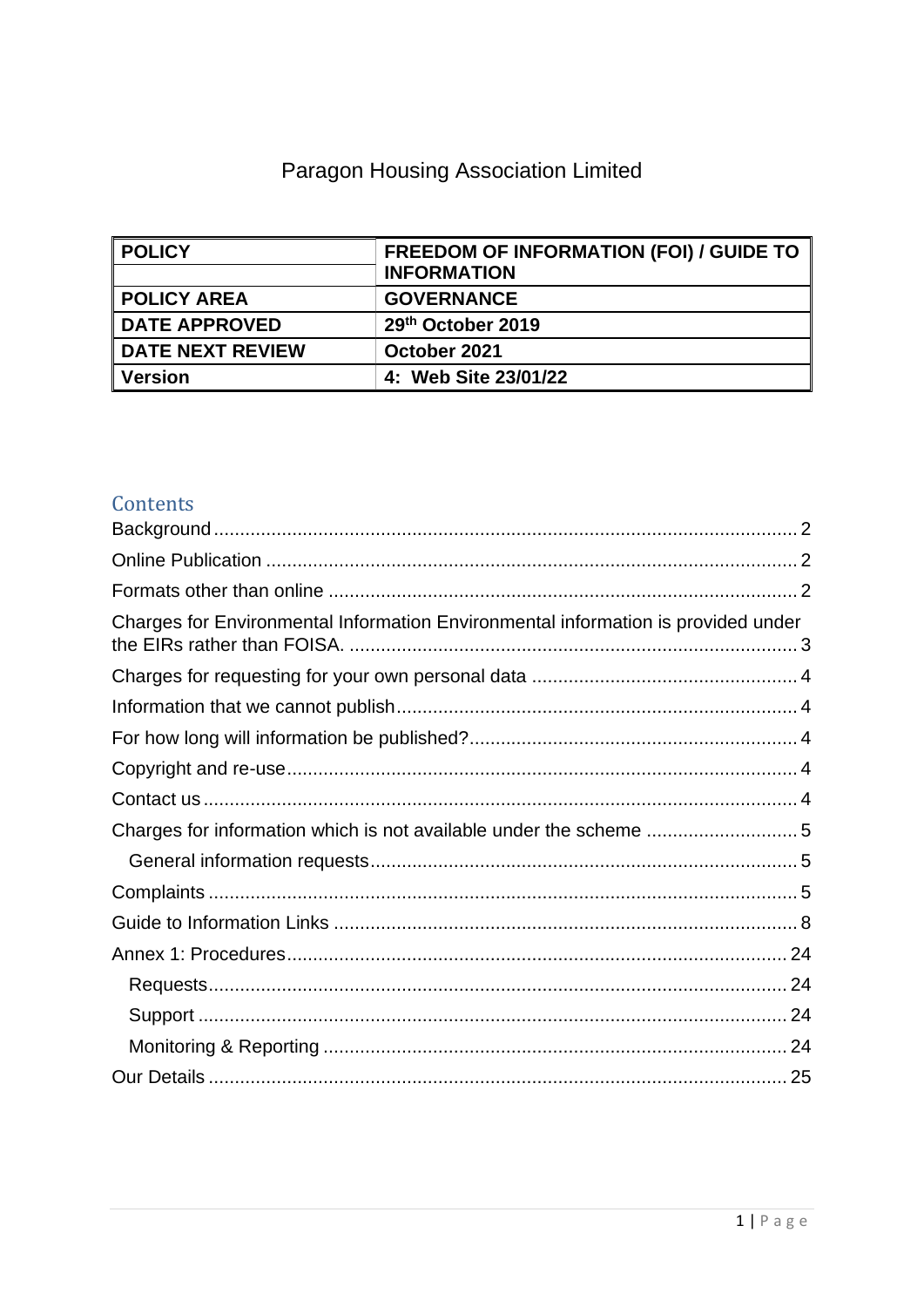# Paragon Housing Association Limited

| <b>POLICY</b>           | <b>FREEDOM OF INFORMATION (FOI) / GUIDE TO</b><br><b>INFORMATION</b> |
|-------------------------|----------------------------------------------------------------------|
| <b>POLICY AREA</b>      | <b>GOVERNANCE</b>                                                    |
| <b>DATE APPROVED</b>    | 29th October 2019                                                    |
| <b>DATE NEXT REVIEW</b> | October 2021                                                         |
| <b>Version</b>          | 4: Web Site 23/01/22                                                 |

# Contents

| Charges for Environmental Information Environmental information is provided under |  |
|-----------------------------------------------------------------------------------|--|
|                                                                                   |  |
|                                                                                   |  |
|                                                                                   |  |
|                                                                                   |  |
|                                                                                   |  |
|                                                                                   |  |
|                                                                                   |  |
|                                                                                   |  |
|                                                                                   |  |
|                                                                                   |  |
|                                                                                   |  |
|                                                                                   |  |
|                                                                                   |  |
|                                                                                   |  |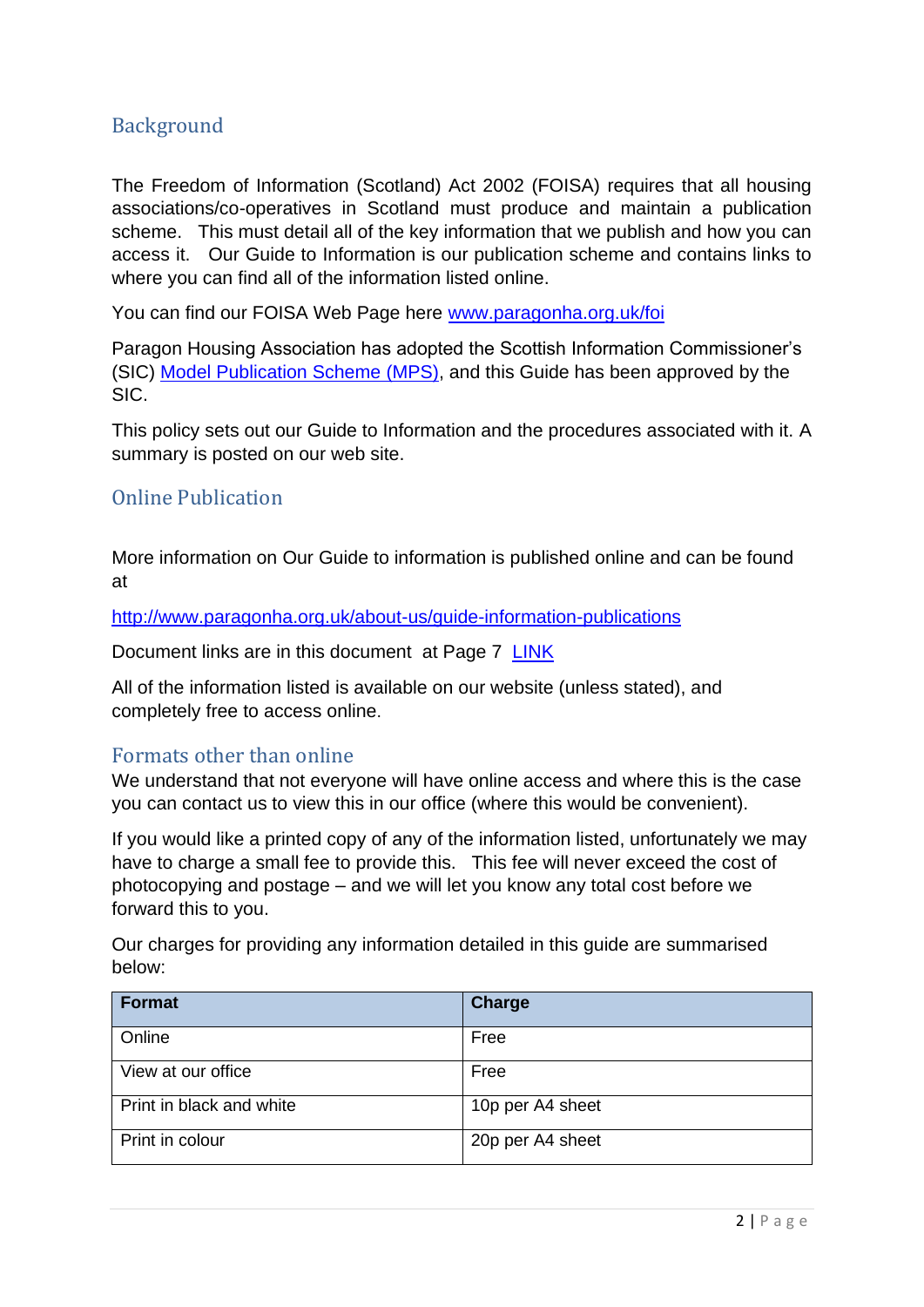# <span id="page-1-0"></span>Background

The Freedom of Information (Scotland) Act 2002 (FOISA) requires that all housing associations/co-operatives in Scotland must produce and maintain a publication scheme. This must detail all of the key information that we publish and how you can access it. Our Guide to Information is our publication scheme and contains links to where you can find all of the information listed online.

You can find our FOISA Web Page here [www.paragonha.org.uk/foi](http://www.paragonha.org.uk/foi)

Paragon Housing Association has adopted the Scottish Information Commissioner's (SIC) [Model Publication Scheme](http://www.itspublicknowledge.info/ScottishPublicAuthorities/PublicationSchemes/TheModelPublicationScheme.aspx) (MPS), and this Guide has been approved by the SIC.

This policy sets out our Guide to Information and the procedures associated with it. A summary is posted on our web site.

#### <span id="page-1-1"></span>Online Publication

More information on Our Guide to information is published online and can be found at

<http://www.paragonha.org.uk/about-us/guide-information-publications>

Document links are in this document at Page [7 LINK](#page-6-0)

All of the information listed is available on our website (unless stated), and completely free to access online.

#### <span id="page-1-2"></span>Formats other than online

We understand that not everyone will have online access and where this is the case you can contact us to view this in our office (where this would be convenient).

If you would like a printed copy of any of the information listed, unfortunately we may have to charge a small fee to provide this. This fee will never exceed the cost of photocopying and postage – and we will let you know any total cost before we forward this to you.

Our charges for providing any information detailed in this guide are summarised below:

<span id="page-1-3"></span>

| <b>Format</b>            | <b>Charge</b>    |
|--------------------------|------------------|
| Online                   | Free             |
| View at our office       | Free             |
| Print in black and white | 10p per A4 sheet |
| Print in colour          | 20p per A4 sheet |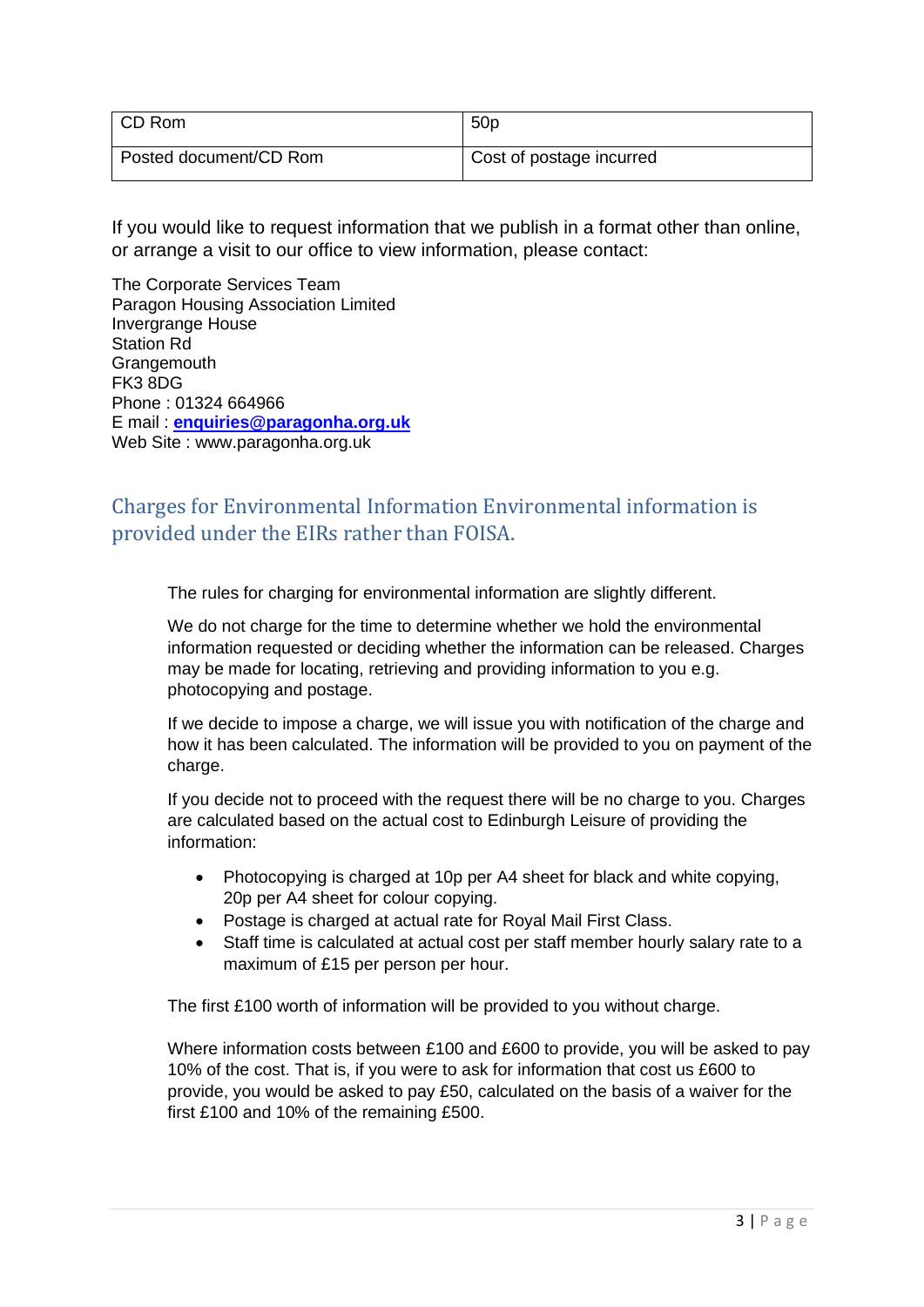| CD Rom                 | 50 <sub>p</sub>          |
|------------------------|--------------------------|
| Posted document/CD Rom | Cost of postage incurred |

If you would like to request information that we publish in a format other than online, or arrange a visit to our office to view information, please contact:

The Corporate Services Team Paragon Housing Association Limited Invergrange House Station Rd **Grangemouth** FK3 8DG Phone : 01324 664966 E mail : **[enquiries@paragonha.org.uk](mailto:enquiries@paragonha.org.uk)** Web Site : www.paragonha.org.uk

# <span id="page-2-0"></span>Charges for Environmental Information Environmental information is provided under the EIRs rather than FOISA.

<span id="page-2-1"></span>The rules for charging for environmental information are slightly different.

We do not charge for the time to determine whether we hold the environmental information requested or deciding whether the information can be released. Charges may be made for locating, retrieving and providing information to you e.g. photocopying and postage.

If we decide to impose a charge, we will issue you with notification of the charge and how it has been calculated. The information will be provided to you on payment of the charge.

If you decide not to proceed with the request there will be no charge to you. Charges are calculated based on the actual cost to Edinburgh Leisure of providing the information:

- Photocopying is charged at 10p per A4 sheet for black and white copying, 20p per A4 sheet for colour copying.
- Postage is charged at actual rate for Royal Mail First Class.
- Staff time is calculated at actual cost per staff member hourly salary rate to a maximum of £15 per person per hour.

The first £100 worth of information will be provided to you without charge.

Where information costs between £100 and £600 to provide, you will be asked to pay 10% of the cost. That is, if you were to ask for information that cost us £600 to provide, you would be asked to pay £50, calculated on the basis of a waiver for the first £100 and 10% of the remaining £500.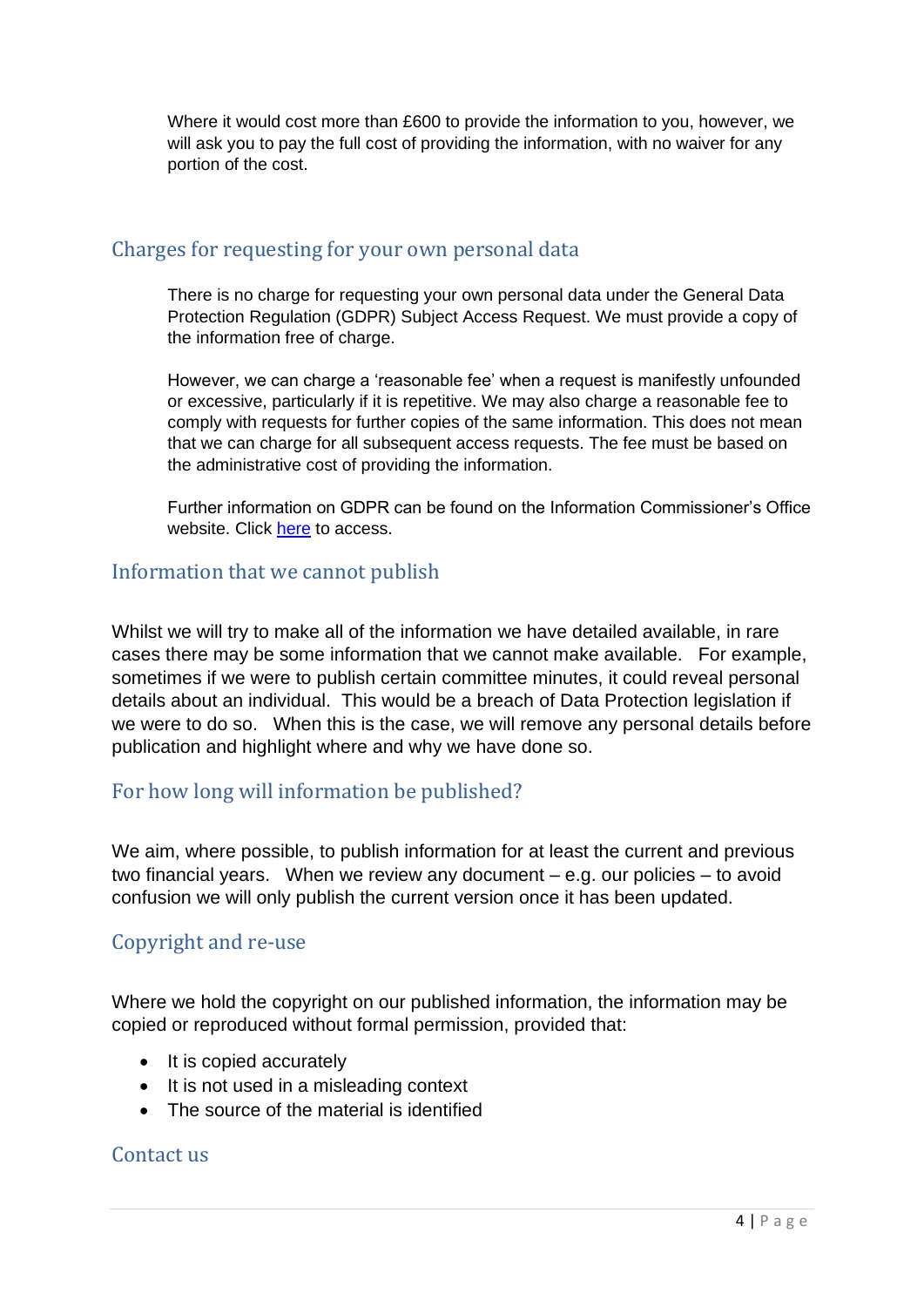Where it would cost more than £600 to provide the information to you, however, we will ask you to pay the full cost of providing the information, with no waiver for any portion of the cost.

#### <span id="page-3-0"></span>Charges for requesting for your own personal data

There is no charge for requesting your own personal data under the General Data Protection Regulation (GDPR) Subject Access Request. We must provide a copy of the information free of charge.

However, we can charge a 'reasonable fee' when a request is manifestly unfounded or excessive, particularly if it is repetitive. We may also charge a reasonable fee to comply with requests for further copies of the same information. This does not mean that we can charge for all subsequent access requests. The fee must be based on the administrative cost of providing the information.

Further information on GDPR can be found on the Information Commissioner's Office website. Click [here](https://ico.org.uk/for-organisations/guide-to-data-protection/guide-to-the-general-data-protection-regulation-gdpr/) to access.

#### <span id="page-3-1"></span>Information that we cannot publish

Whilst we will try to make all of the information we have detailed available, in rare cases there may be some information that we cannot make available. For example, sometimes if we were to publish certain committee minutes, it could reveal personal details about an individual. This would be a breach of Data Protection legislation if we were to do so. When this is the case, we will remove any personal details before publication and highlight where and why we have done so.

#### <span id="page-3-2"></span>For how long will information be published?

We aim, where possible, to publish information for at least the current and previous two financial years. When we review any document – e.g. our policies – to avoid confusion we will only publish the current version once it has been updated.

#### <span id="page-3-3"></span>Copyright and re-use

Where we hold the copyright on our published information, the information may be copied or reproduced without formal permission, provided that:

- It is copied accurately
- It is not used in a misleading context
- The source of the material is identified

#### <span id="page-3-4"></span>Contact us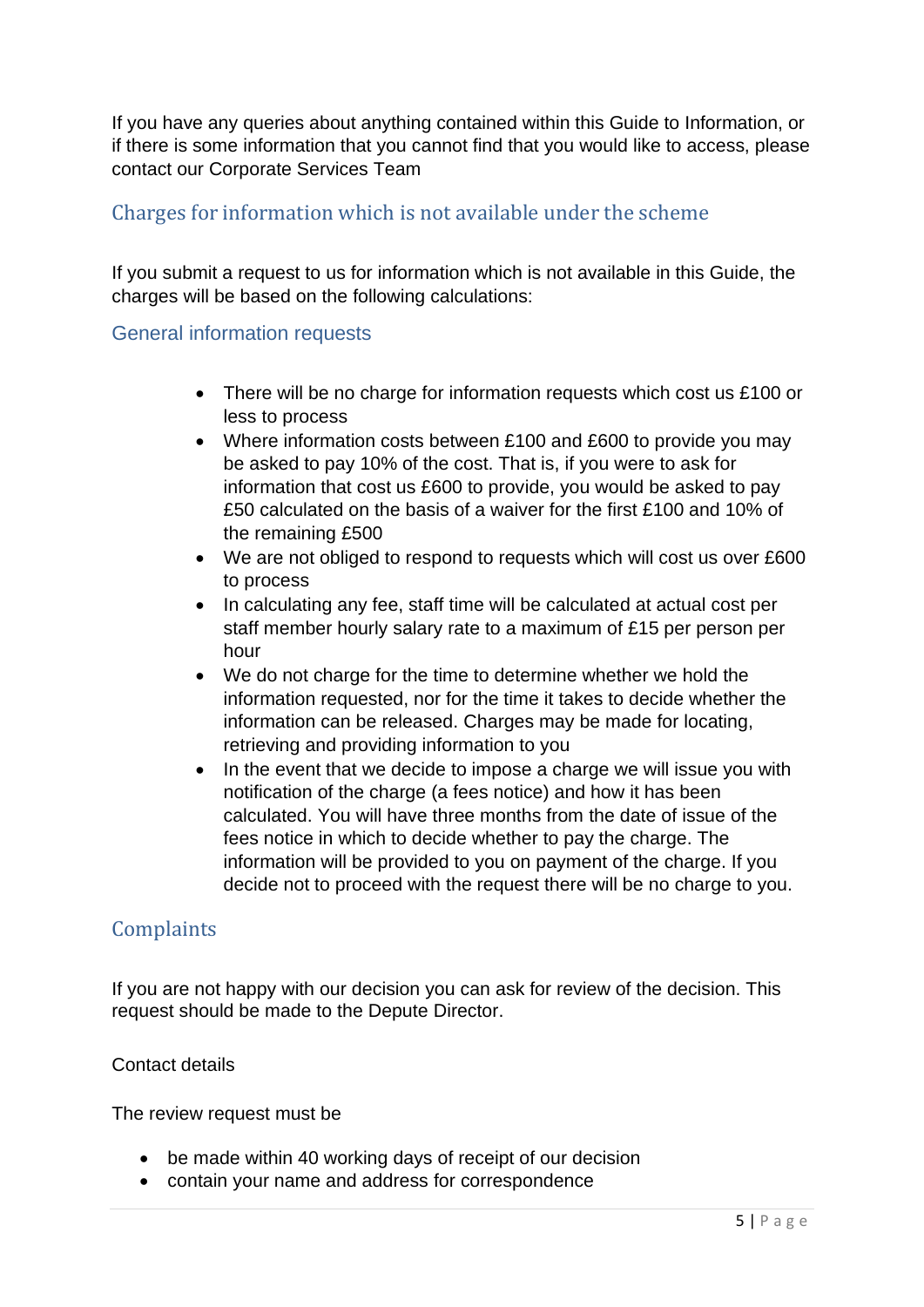If you have any queries about anything contained within this Guide to Information, or if there is some information that you cannot find that you would like to access, please contact our Corporate Services Team

### <span id="page-4-0"></span>Charges for information which is not available under the scheme

If you submit a request to us for information which is not available in this Guide, the charges will be based on the following calculations:

#### <span id="page-4-1"></span>General information requests

- There will be no charge for information requests which cost us £100 or less to process
- Where information costs between £100 and £600 to provide you may be asked to pay 10% of the cost. That is, if you were to ask for information that cost us £600 to provide, you would be asked to pay £50 calculated on the basis of a waiver for the first £100 and 10% of the remaining £500
- We are not obliged to respond to requests which will cost us over £600 to process
- In calculating any fee, staff time will be calculated at actual cost per staff member hourly salary rate to a maximum of £15 per person per hour
- We do not charge for the time to determine whether we hold the information requested, nor for the time it takes to decide whether the information can be released. Charges may be made for locating, retrieving and providing information to you
- In the event that we decide to impose a charge we will issue you with notification of the charge (a fees notice) and how it has been calculated. You will have three months from the date of issue of the fees notice in which to decide whether to pay the charge. The information will be provided to you on payment of the charge. If you decide not to proceed with the request there will be no charge to you.

#### <span id="page-4-2"></span>**Complaints**

If you are not happy with our decision you can ask for review of the decision. This request should be made to the Depute Director.

#### Contact details

The review request must be

- be made within 40 working days of receipt of our decision
- contain your name and address for correspondence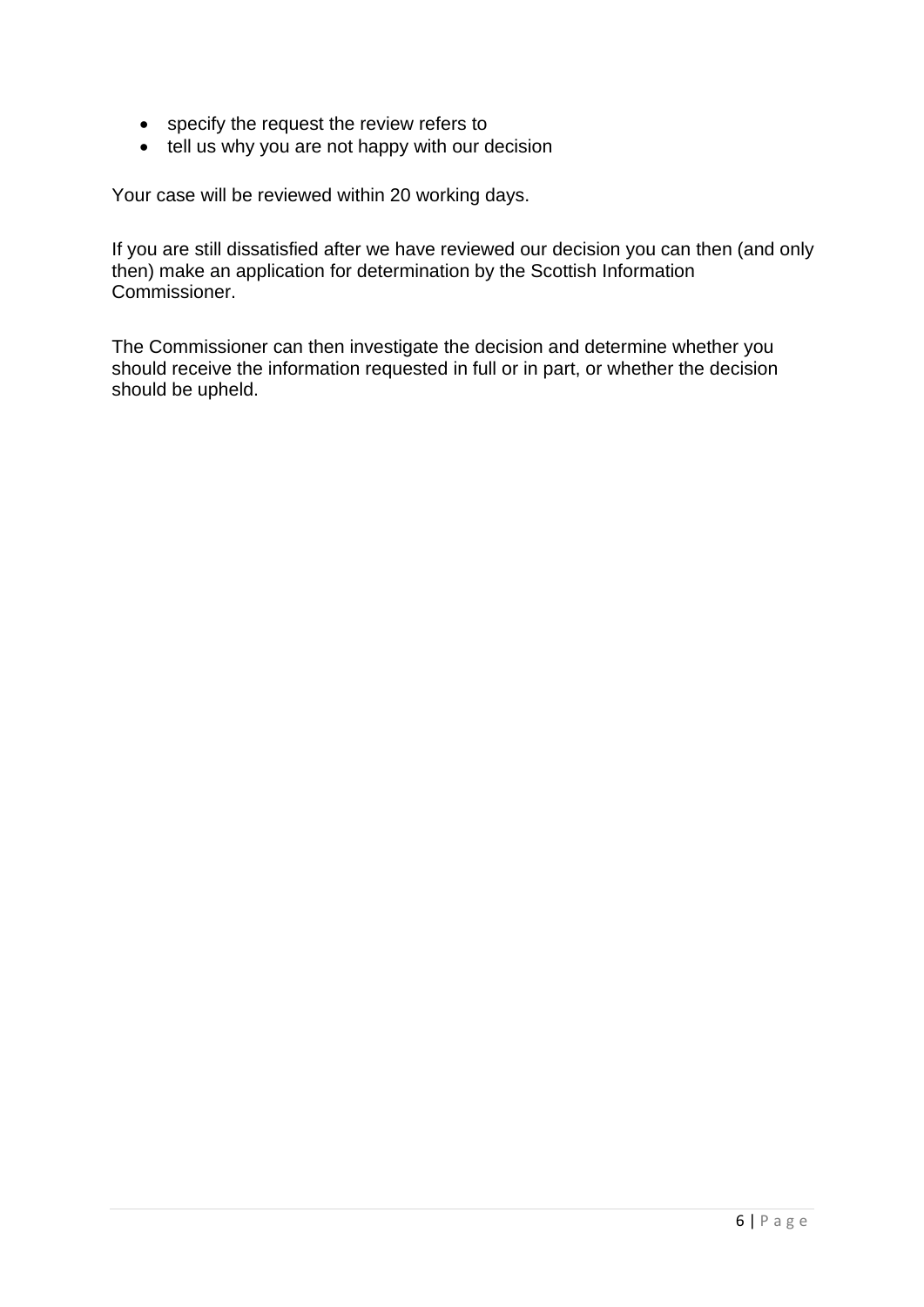- specify the request the review refers to
- tell us why you are not happy with our decision

Your case will be reviewed within 20 working days.

If you are still dissatisfied after we have reviewed our decision you can then (and only then) make an application for determination by the Scottish Information Commissioner.

The Commissioner can then investigate the decision and determine whether you should receive the information requested in full or in part, or whether the decision should be upheld.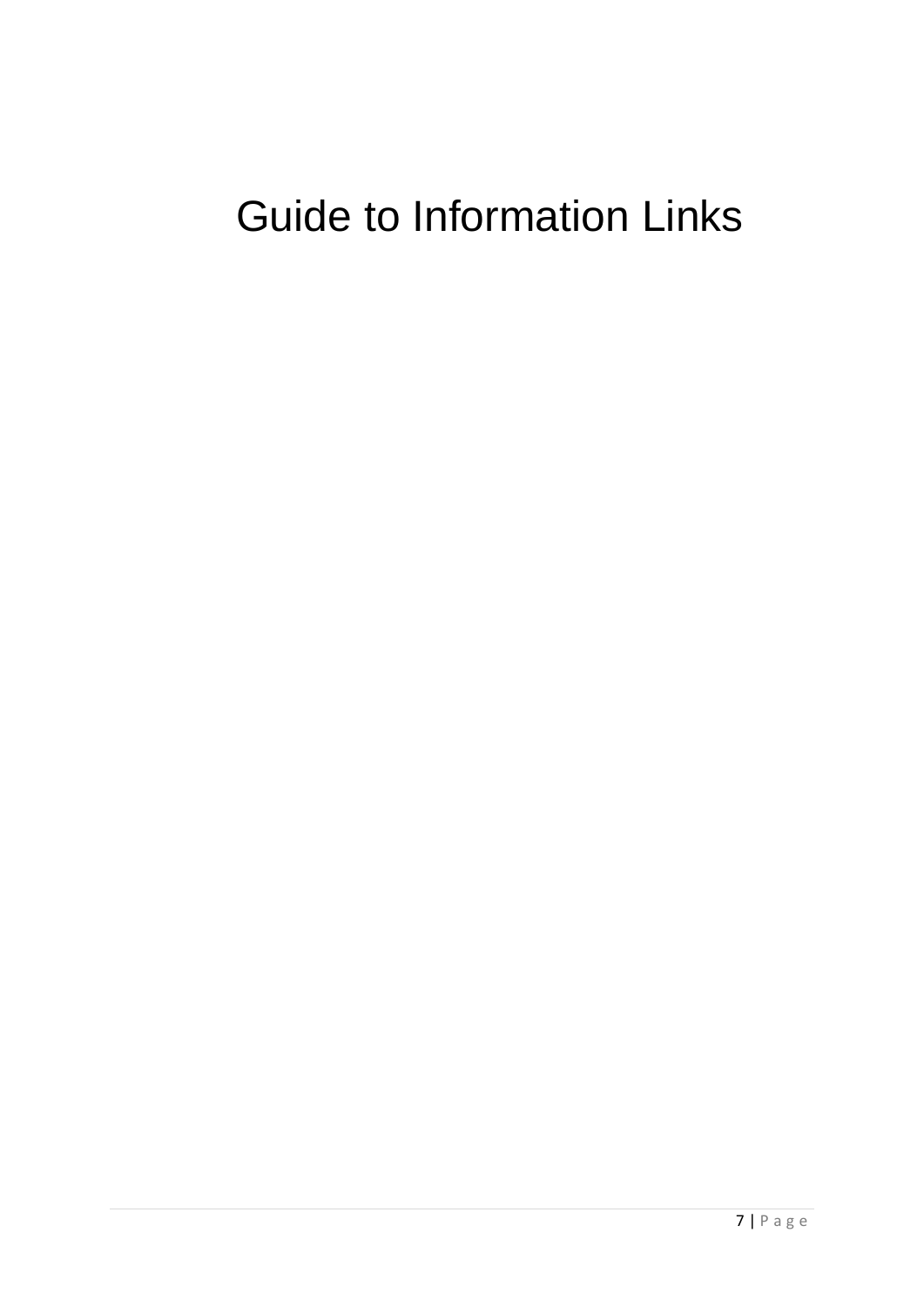# <span id="page-6-0"></span>Guide to Information Links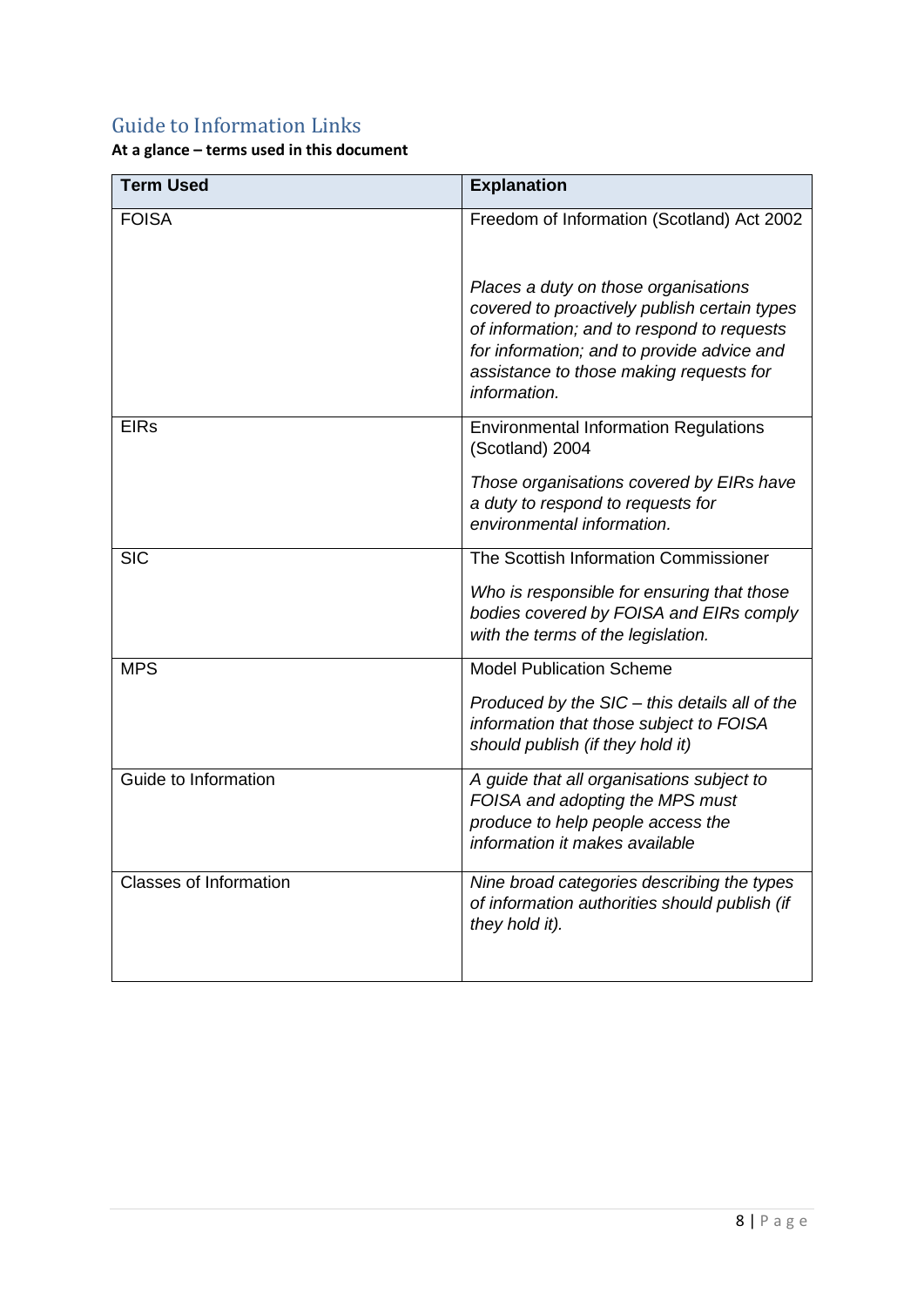# <span id="page-7-0"></span>Guide to Information Links

**At a glance – terms used in this document**

| <b>Term Used</b>              | <b>Explanation</b>                                                                                                                                                                                                                          |
|-------------------------------|---------------------------------------------------------------------------------------------------------------------------------------------------------------------------------------------------------------------------------------------|
| <b>FOISA</b>                  | Freedom of Information (Scotland) Act 2002                                                                                                                                                                                                  |
|                               | Places a duty on those organisations<br>covered to proactively publish certain types<br>of information; and to respond to requests<br>for information; and to provide advice and<br>assistance to those making requests for<br>information. |
| <b>EIRs</b>                   | <b>Environmental Information Regulations</b><br>(Scotland) 2004                                                                                                                                                                             |
|                               | Those organisations covered by EIRs have<br>a duty to respond to requests for<br>environmental information.                                                                                                                                 |
| <b>SIC</b>                    | The Scottish Information Commissioner                                                                                                                                                                                                       |
|                               | Who is responsible for ensuring that those<br>bodies covered by FOISA and EIRs comply<br>with the terms of the legislation.                                                                                                                 |
| <b>MPS</b>                    | <b>Model Publication Scheme</b>                                                                                                                                                                                                             |
|                               | Produced by the SIC - this details all of the<br>information that those subject to FOISA<br>should publish (if they hold it)                                                                                                                |
| Guide to Information          | A guide that all organisations subject to<br>FOISA and adopting the MPS must<br>produce to help people access the<br>information it makes available                                                                                         |
| <b>Classes of Information</b> | Nine broad categories describing the types<br>of information authorities should publish (if<br>they hold it).                                                                                                                               |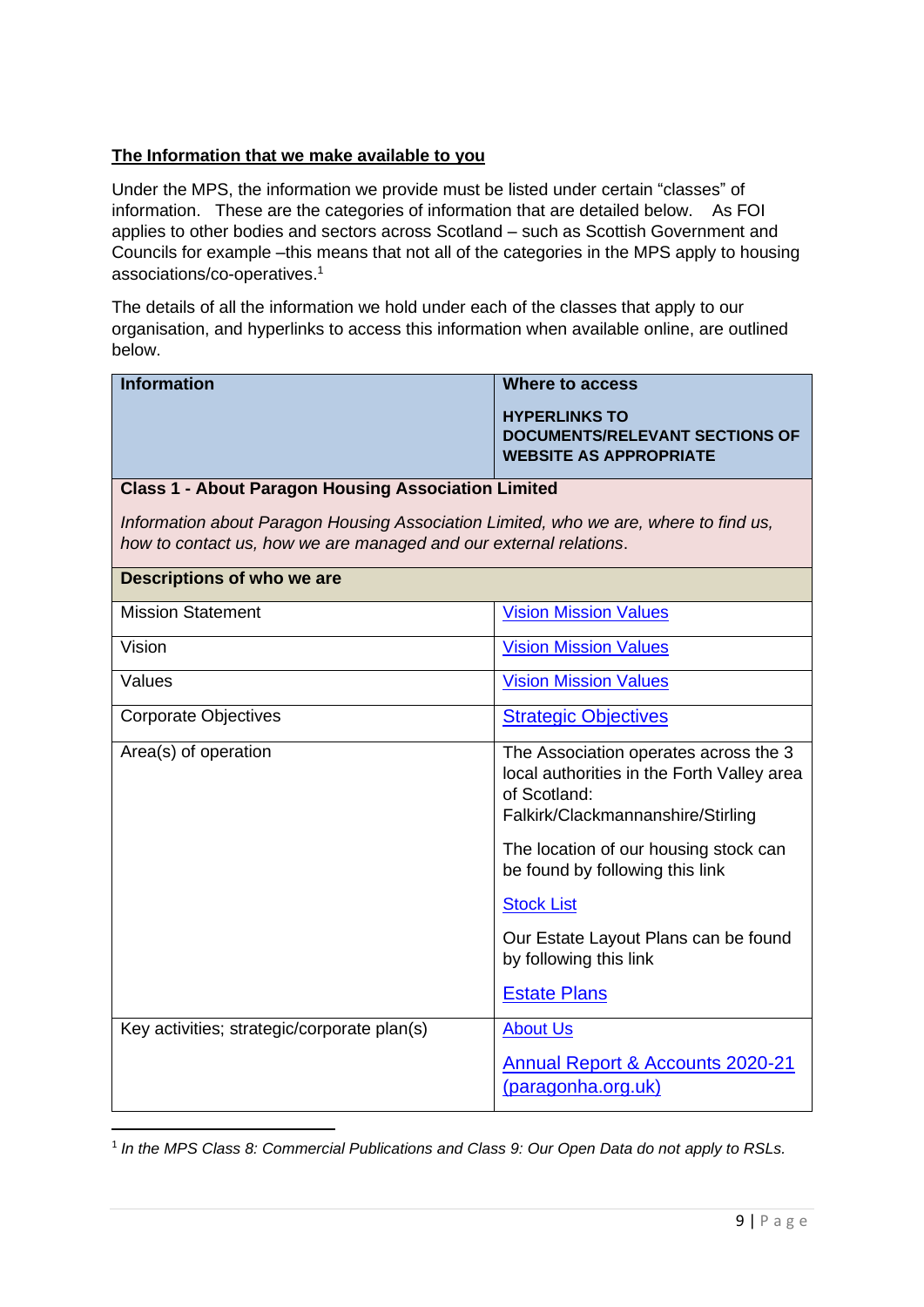#### **The Information that we make available to you**

Under the MPS, the information we provide must be listed under certain "classes" of information. These are the categories of information that are detailed below. As FOI applies to other bodies and sectors across Scotland – such as Scottish Government and Councils for example –this means that not all of the categories in the MPS apply to housing associations/co-operatives. 1

The details of all the information we hold under each of the classes that apply to our organisation, and hyperlinks to access this information when available online, are outlined below.

| <b>Information</b>                                                                                                                                        | <b>Where to access</b>                                                                                                                   |
|-----------------------------------------------------------------------------------------------------------------------------------------------------------|------------------------------------------------------------------------------------------------------------------------------------------|
|                                                                                                                                                           | <b>HYPERLINKS TO</b>                                                                                                                     |
|                                                                                                                                                           | <b>DOCUMENTS/RELEVANT SECTIONS OF</b><br><b>WEBSITE AS APPROPRIATE</b>                                                                   |
| <b>Class 1 - About Paragon Housing Association Limited</b>                                                                                                |                                                                                                                                          |
| Information about Paragon Housing Association Limited, who we are, where to find us,<br>how to contact us, how we are managed and our external relations. |                                                                                                                                          |
| Descriptions of who we are                                                                                                                                |                                                                                                                                          |
| <b>Mission Statement</b>                                                                                                                                  | <b>Vision Mission Values</b>                                                                                                             |
| Vision                                                                                                                                                    | <b>Vision Mission Values</b>                                                                                                             |
| Values                                                                                                                                                    | <b>Vision Mission Values</b>                                                                                                             |
| <b>Corporate Objectives</b>                                                                                                                               | <b>Strategic Objectives</b>                                                                                                              |
| Area(s) of operation                                                                                                                                      | The Association operates across the 3<br>local authorities in the Forth Valley area<br>of Scotland:<br>Falkirk/Clackmannanshire/Stirling |
|                                                                                                                                                           | The location of our housing stock can<br>be found by following this link                                                                 |
|                                                                                                                                                           | <b>Stock List</b>                                                                                                                        |
|                                                                                                                                                           | Our Estate Layout Plans can be found<br>by following this link                                                                           |
|                                                                                                                                                           | <b>Estate Plans</b>                                                                                                                      |
| Key activities; strategic/corporate plan(s)                                                                                                               | <b>About Us</b>                                                                                                                          |
|                                                                                                                                                           | Annual Report & Accounts 2020-21<br>(paragonha.org.uk)                                                                                   |

<sup>1</sup> In the MPS Class 8: Commercial Publications and Class 9: Our Open Data do not apply to RSLs.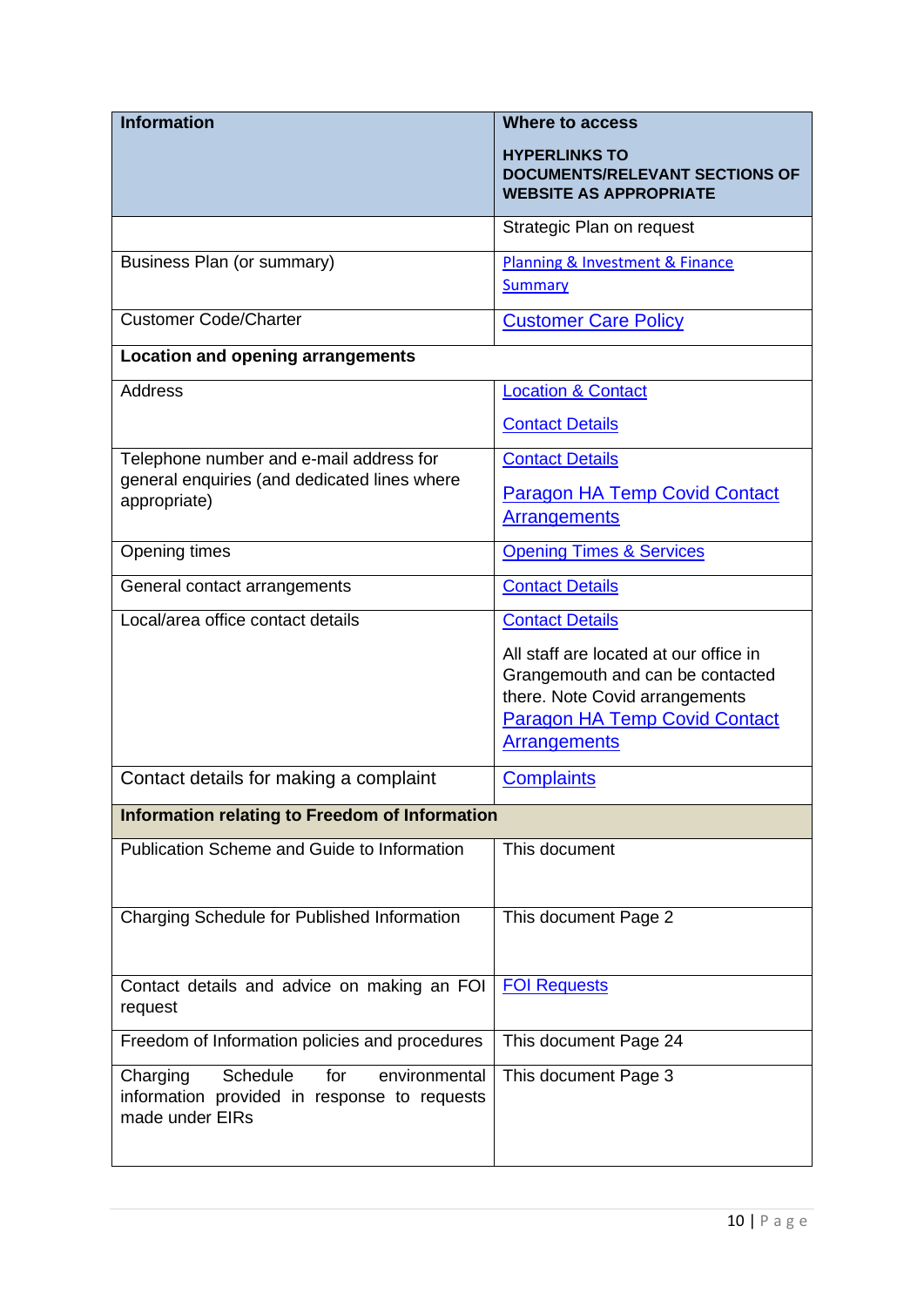| <b>Information</b>                                                                                              | <b>Where to access</b>                                                                                                                                                      |
|-----------------------------------------------------------------------------------------------------------------|-----------------------------------------------------------------------------------------------------------------------------------------------------------------------------|
|                                                                                                                 | <b>HYPERLINKS TO</b><br><b>DOCUMENTS/RELEVANT SECTIONS OF</b><br><b>WEBSITE AS APPROPRIATE</b>                                                                              |
|                                                                                                                 | Strategic Plan on request                                                                                                                                                   |
| Business Plan (or summary)                                                                                      | Planning & Investment & Finance<br><b>Summary</b>                                                                                                                           |
| <b>Customer Code/Charter</b>                                                                                    | <b>Customer Care Policy</b>                                                                                                                                                 |
| <b>Location and opening arrangements</b>                                                                        |                                                                                                                                                                             |
| <b>Address</b>                                                                                                  | <b>Location &amp; Contact</b>                                                                                                                                               |
|                                                                                                                 | <b>Contact Details</b>                                                                                                                                                      |
| Telephone number and e-mail address for                                                                         | <b>Contact Details</b>                                                                                                                                                      |
| general enquiries (and dedicated lines where<br>appropriate)                                                    | <b>Paragon HA Temp Covid Contact</b><br><b>Arrangements</b>                                                                                                                 |
| Opening times                                                                                                   | <b>Opening Times &amp; Services</b>                                                                                                                                         |
| General contact arrangements                                                                                    | <b>Contact Details</b>                                                                                                                                                      |
| Local/area office contact details                                                                               | <b>Contact Details</b>                                                                                                                                                      |
|                                                                                                                 | All staff are located at our office in<br>Grangemouth and can be contacted<br>there. Note Covid arrangements<br><b>Paragon HA Temp Covid Contact</b><br><b>Arrangements</b> |
| Contact details for making a complaint                                                                          | <b>Complaints</b>                                                                                                                                                           |
| Information relating to Freedom of Information                                                                  |                                                                                                                                                                             |
| Publication Scheme and Guide to Information                                                                     | This document                                                                                                                                                               |
| Charging Schedule for Published Information                                                                     | This document Page 2                                                                                                                                                        |
| Contact details and advice on making an FOI<br>request                                                          | <b>FOI Requests</b>                                                                                                                                                         |
| Freedom of Information policies and procedures                                                                  | This document Page 24                                                                                                                                                       |
| Schedule<br>environmental<br>Charging<br>for<br>information provided in response to requests<br>made under EIRs | This document Page 3                                                                                                                                                        |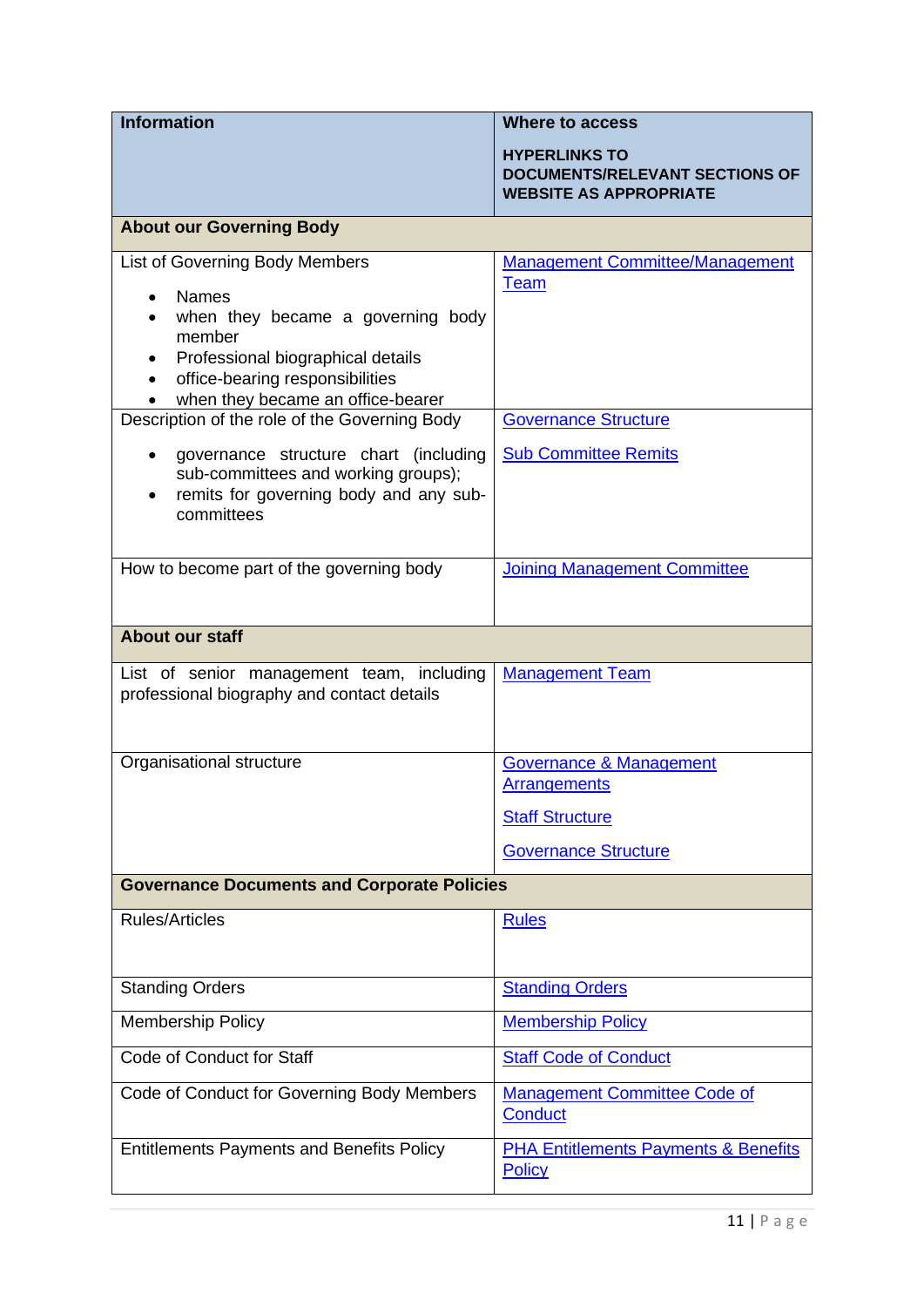| <b>Information</b>                                                                                                                                                                                         | <b>Where to access</b>                                                                                             |  |
|------------------------------------------------------------------------------------------------------------------------------------------------------------------------------------------------------------|--------------------------------------------------------------------------------------------------------------------|--|
|                                                                                                                                                                                                            | <b>HYPERLINKS TO</b><br><b>DOCUMENTS/RELEVANT SECTIONS OF</b><br><b>WEBSITE AS APPROPRIATE</b>                     |  |
| <b>About our Governing Body</b>                                                                                                                                                                            |                                                                                                                    |  |
| List of Governing Body Members<br><b>Names</b><br>when they became a governing body<br>member<br>Professional biographical details<br>office-bearing responsibilities<br>when they became an office-bearer | <b>Management Committee/Management</b><br><b>Team</b>                                                              |  |
| Description of the role of the Governing Body                                                                                                                                                              | <b>Governance Structure</b>                                                                                        |  |
| governance structure chart (including<br>$\bullet$<br>sub-committees and working groups);<br>remits for governing body and any sub-<br>committees                                                          | <b>Sub Committee Remits</b>                                                                                        |  |
| How to become part of the governing body                                                                                                                                                                   | <b>Joining Management Committee</b>                                                                                |  |
| <b>About our staff</b>                                                                                                                                                                                     |                                                                                                                    |  |
| List of senior management team, including<br>professional biography and contact details                                                                                                                    | <b>Management Team</b>                                                                                             |  |
| Organisational structure                                                                                                                                                                                   | <b>Governance &amp; Management</b><br><b>Arrangements</b><br><b>Staff Structure</b><br><b>Governance Structure</b> |  |
| <b>Governance Documents and Corporate Policies</b>                                                                                                                                                         |                                                                                                                    |  |
| <b>Rules/Articles</b>                                                                                                                                                                                      | <b>Rules</b>                                                                                                       |  |
| <b>Standing Orders</b>                                                                                                                                                                                     | <b>Standing Orders</b>                                                                                             |  |
| <b>Membership Policy</b>                                                                                                                                                                                   | <b>Membership Policy</b>                                                                                           |  |
| Code of Conduct for Staff                                                                                                                                                                                  | <b>Staff Code of Conduct</b>                                                                                       |  |
| Code of Conduct for Governing Body Members                                                                                                                                                                 | <b>Management Committee Code of</b><br><b>Conduct</b>                                                              |  |
| <b>Entitlements Payments and Benefits Policy</b>                                                                                                                                                           | <b>PHA Entitlements Payments &amp; Benefits</b><br><b>Policy</b>                                                   |  |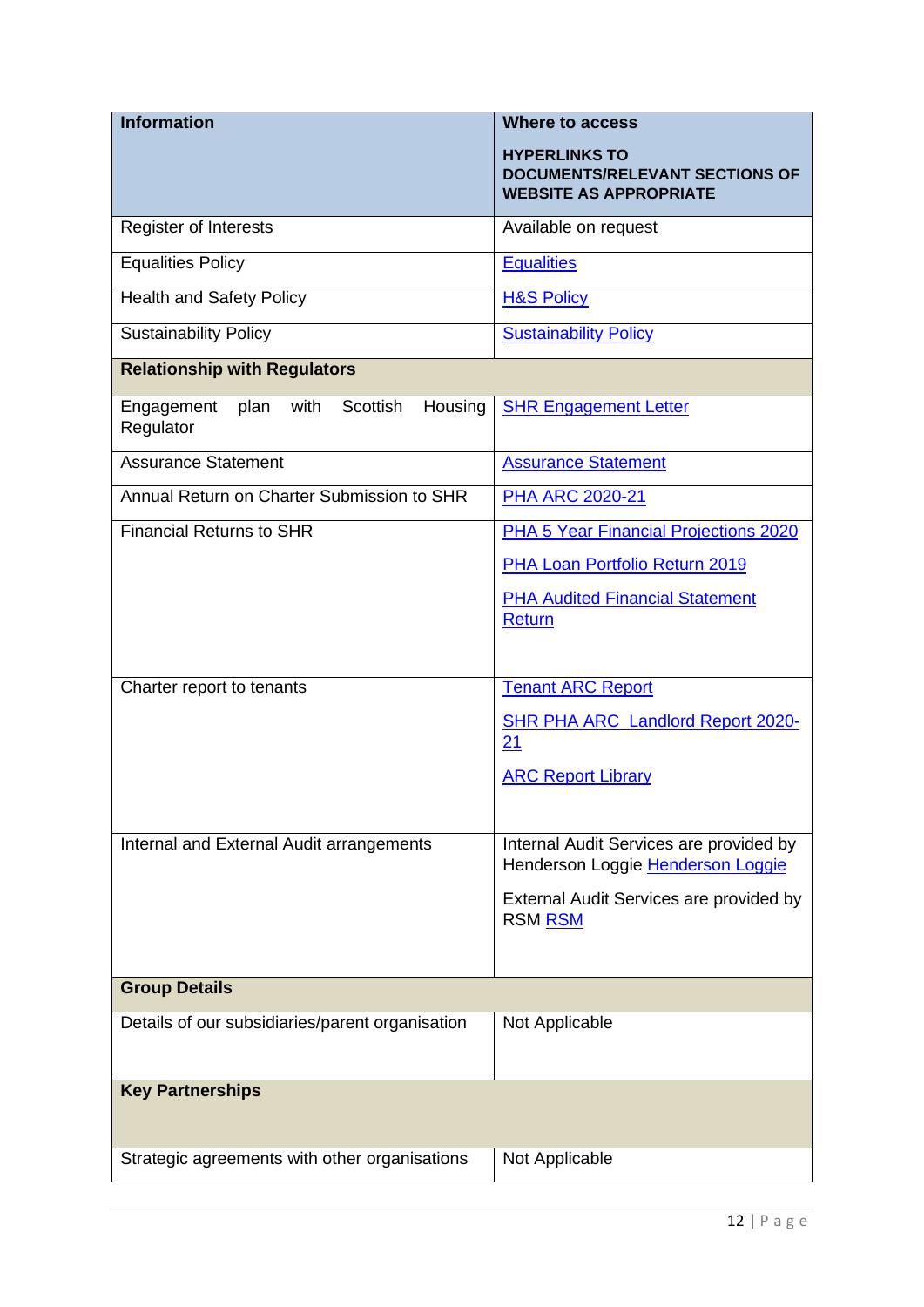| <b>Information</b>                                             | <b>Where to access</b>                                                                         |
|----------------------------------------------------------------|------------------------------------------------------------------------------------------------|
|                                                                | <b>HYPERLINKS TO</b><br><b>DOCUMENTS/RELEVANT SECTIONS OF</b><br><b>WEBSITE AS APPROPRIATE</b> |
| <b>Register of Interests</b>                                   | Available on request                                                                           |
| <b>Equalities Policy</b>                                       | <b>Equalities</b>                                                                              |
| <b>Health and Safety Policy</b>                                | <b>H&amp;S Policy</b>                                                                          |
| <b>Sustainability Policy</b>                                   | <b>Sustainability Policy</b>                                                                   |
| <b>Relationship with Regulators</b>                            |                                                                                                |
| with<br>Scottish<br>Housing<br>plan<br>Engagement<br>Regulator | <b>SHR Engagement Letter</b>                                                                   |
| <b>Assurance Statement</b>                                     | <b>Assurance Statement</b>                                                                     |
| Annual Return on Charter Submission to SHR                     | <b>PHA ARC 2020-21</b>                                                                         |
| <b>Financial Returns to SHR</b>                                | PHA 5 Year Financial Projections 2020                                                          |
|                                                                | PHA Loan Portfolio Return 2019                                                                 |
|                                                                | <b>PHA Audited Financial Statement</b><br><b>Return</b>                                        |
|                                                                |                                                                                                |
| Charter report to tenants                                      | <b>Tenant ARC Report</b>                                                                       |
|                                                                | <b>SHR PHA ARC Landlord Report 2020-</b><br>21                                                 |
|                                                                | <b>ARC Report Library</b>                                                                      |
|                                                                |                                                                                                |
| Internal and External Audit arrangements                       | Internal Audit Services are provided by<br>Henderson Loggie Henderson Loggie                   |
|                                                                | External Audit Services are provided by<br><b>RSM RSM</b>                                      |
|                                                                |                                                                                                |
| <b>Group Details</b>                                           |                                                                                                |
| Details of our subsidiaries/parent organisation                | Not Applicable                                                                                 |
| <b>Key Partnerships</b>                                        |                                                                                                |
| Strategic agreements with other organisations                  | Not Applicable                                                                                 |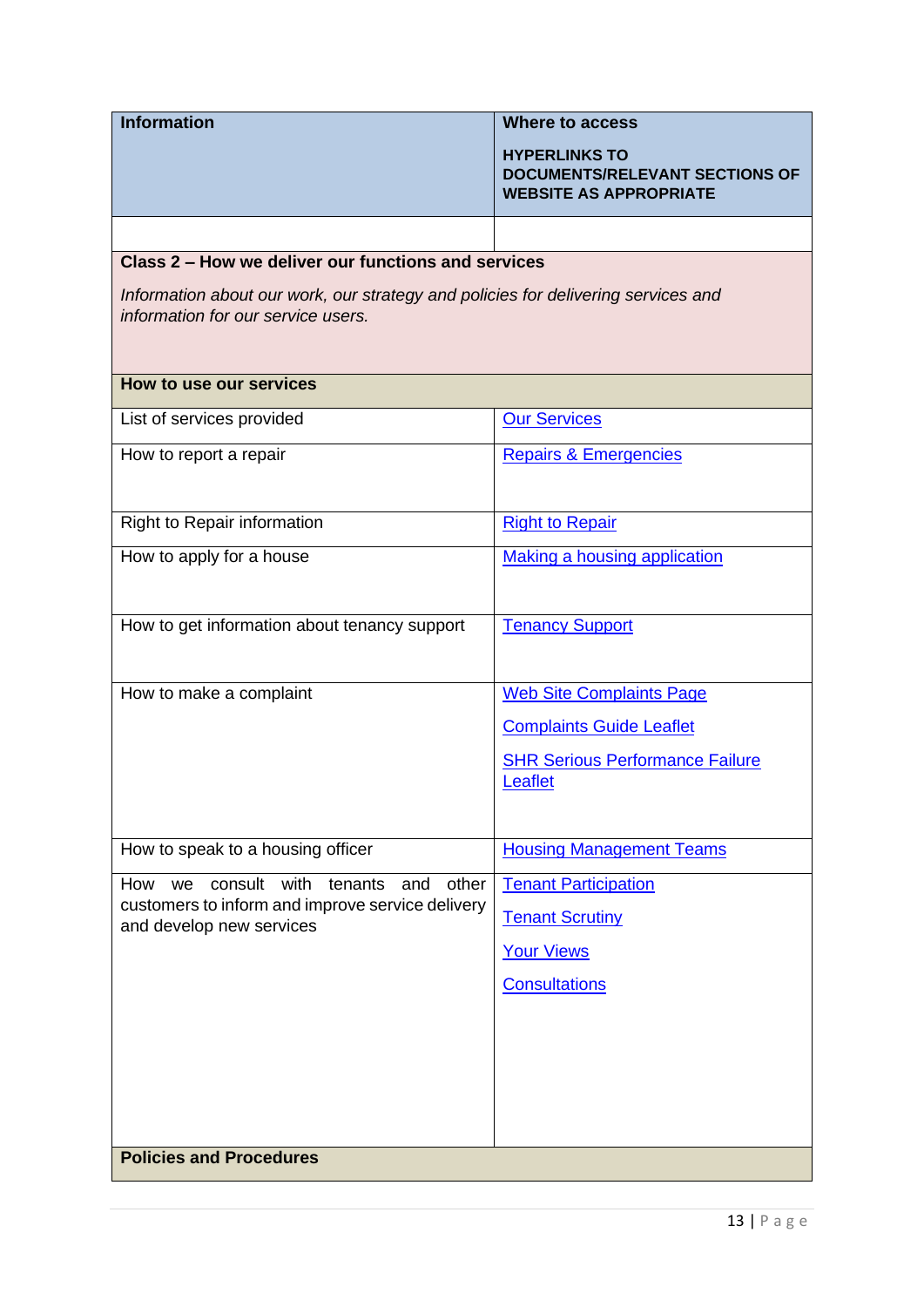| <b>Information</b>                                                                                                      | <b>Where to access</b>                                                                         |  |
|-------------------------------------------------------------------------------------------------------------------------|------------------------------------------------------------------------------------------------|--|
|                                                                                                                         | <b>HYPERLINKS TO</b><br><b>DOCUMENTS/RELEVANT SECTIONS OF</b><br><b>WEBSITE AS APPROPRIATE</b> |  |
|                                                                                                                         |                                                                                                |  |
| Class 2 – How we deliver our functions and services                                                                     |                                                                                                |  |
| Information about our work, our strategy and policies for delivering services and<br>information for our service users. |                                                                                                |  |
| How to use our services                                                                                                 |                                                                                                |  |
| List of services provided                                                                                               | <b>Our Services</b>                                                                            |  |
| How to report a repair                                                                                                  | <b>Repairs &amp; Emergencies</b>                                                               |  |
| Right to Repair information                                                                                             | <b>Right to Repair</b>                                                                         |  |
| How to apply for a house                                                                                                | <b>Making a housing application</b>                                                            |  |
| How to get information about tenancy support                                                                            | <b>Tenancy Support</b>                                                                         |  |
| How to make a complaint                                                                                                 | <b>Web Site Complaints Page</b>                                                                |  |
|                                                                                                                         | <b>Complaints Guide Leaflet</b>                                                                |  |
|                                                                                                                         | <b>SHR Serious Performance Failure</b>                                                         |  |
|                                                                                                                         | Leaflet                                                                                        |  |
|                                                                                                                         |                                                                                                |  |
| How to speak to a housing officer                                                                                       | <b>Housing Management Teams</b>                                                                |  |
| consult with<br>How<br>tenants<br>we<br>other<br>and<br>customers to inform and improve service delivery                | <b>Tenant Participation</b>                                                                    |  |
| and develop new services                                                                                                | <b>Tenant Scrutiny</b>                                                                         |  |
|                                                                                                                         | <b>Your Views</b>                                                                              |  |
|                                                                                                                         | <b>Consultations</b>                                                                           |  |
|                                                                                                                         |                                                                                                |  |
|                                                                                                                         |                                                                                                |  |
|                                                                                                                         |                                                                                                |  |
|                                                                                                                         |                                                                                                |  |
| <b>Policies and Procedures</b>                                                                                          |                                                                                                |  |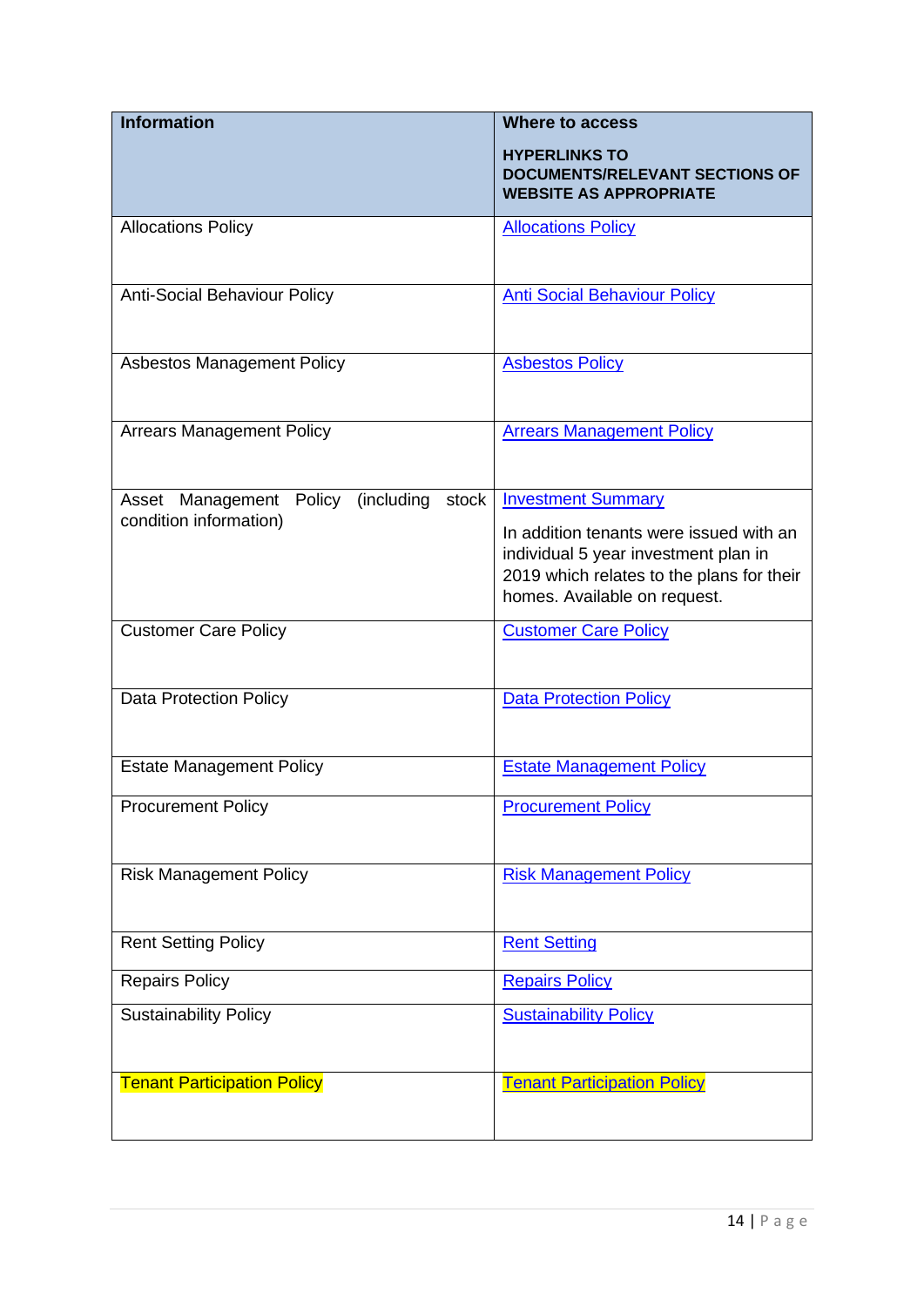| <b>Information</b>                                | <b>Where to access</b>                                                                                                                                       |
|---------------------------------------------------|--------------------------------------------------------------------------------------------------------------------------------------------------------------|
|                                                   | <b>HYPERLINKS TO</b><br><b>DOCUMENTS/RELEVANT SECTIONS OF</b><br><b>WEBSITE AS APPROPRIATE</b>                                                               |
| <b>Allocations Policy</b>                         | <b>Allocations Policy</b>                                                                                                                                    |
| <b>Anti-Social Behaviour Policy</b>               | <b>Anti Social Behaviour Policy</b>                                                                                                                          |
| <b>Asbestos Management Policy</b>                 | <b>Asbestos Policy</b>                                                                                                                                       |
| <b>Arrears Management Policy</b>                  | <b>Arrears Management Policy</b>                                                                                                                             |
| (including<br>Asset Management<br>stock<br>Policy | <b>Investment Summary</b>                                                                                                                                    |
| condition information)                            | In addition tenants were issued with an<br>individual 5 year investment plan in<br>2019 which relates to the plans for their<br>homes. Available on request. |
| <b>Customer Care Policy</b>                       | <b>Customer Care Policy</b>                                                                                                                                  |
| <b>Data Protection Policy</b>                     | <b>Data Protection Policy</b>                                                                                                                                |
| <b>Estate Management Policy</b>                   | <b>Estate Management Policy</b>                                                                                                                              |
| <b>Procurement Policy</b>                         | <b>Procurement Policy</b>                                                                                                                                    |
| <b>Risk Management Policy</b>                     | <b>Risk Management Policy</b>                                                                                                                                |
| <b>Rent Setting Policy</b>                        | <b>Rent Setting</b>                                                                                                                                          |
| <b>Repairs Policy</b>                             | <b>Repairs Policy</b>                                                                                                                                        |
| <b>Sustainability Policy</b>                      | <b>Sustainability Policy</b>                                                                                                                                 |
| <b>Tenant Participation Policy</b>                | <b>Tenant Participation Policy</b>                                                                                                                           |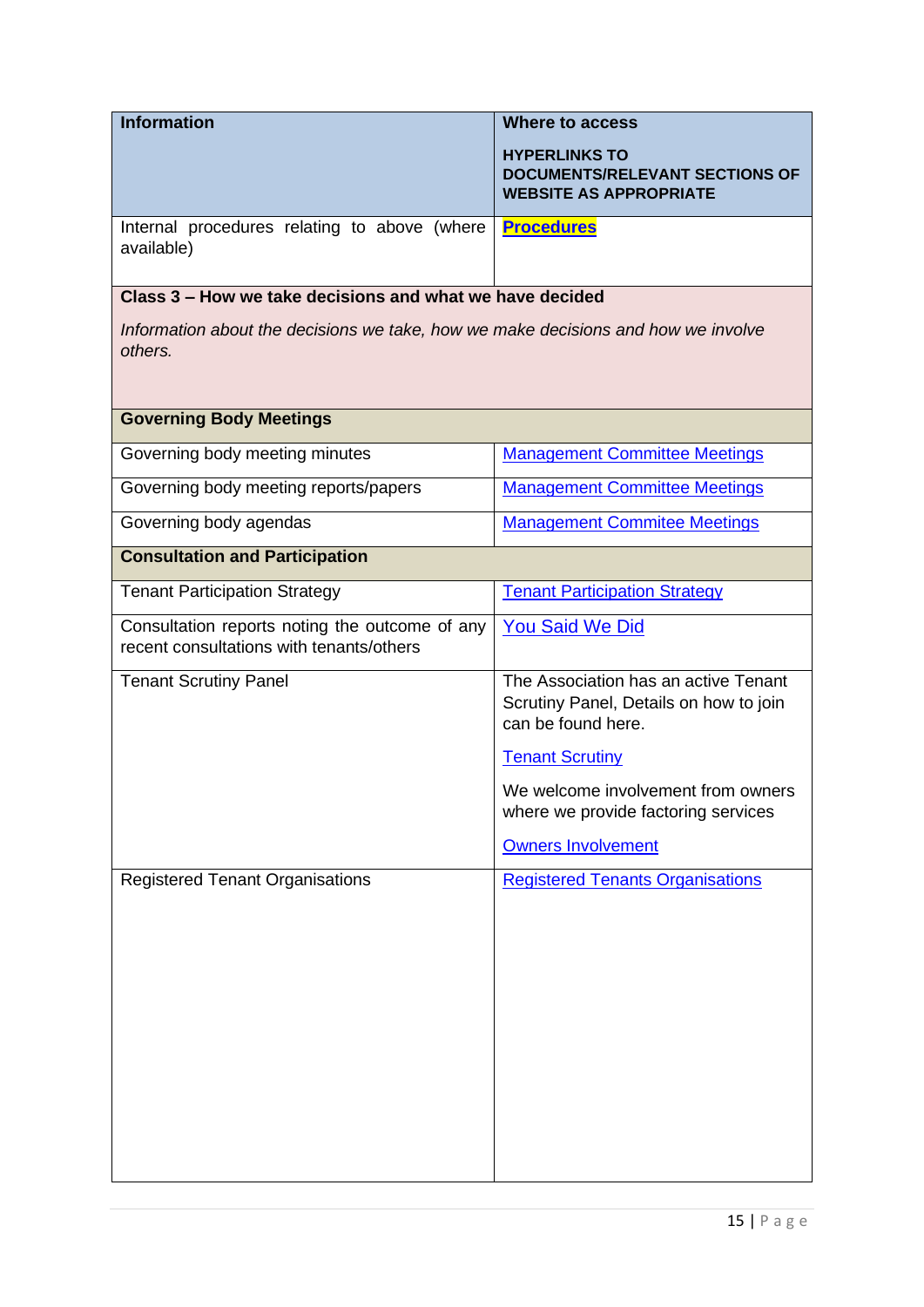| <b>Information</b>                                                                                                                                       | <b>Where to access</b>                                                                                                           |  |
|----------------------------------------------------------------------------------------------------------------------------------------------------------|----------------------------------------------------------------------------------------------------------------------------------|--|
|                                                                                                                                                          | <b>HYPERLINKS TO</b><br><b>DOCUMENTS/RELEVANT SECTIONS OF</b><br><b>WEBSITE AS APPROPRIATE</b>                                   |  |
| Internal procedures relating to above (where<br>available)                                                                                               | <b>Procedures</b>                                                                                                                |  |
| Class 3 – How we take decisions and what we have decided<br>Information about the decisions we take, how we make decisions and how we involve<br>others. |                                                                                                                                  |  |
| <b>Governing Body Meetings</b>                                                                                                                           |                                                                                                                                  |  |
| Governing body meeting minutes                                                                                                                           | <b>Management Committee Meetings</b>                                                                                             |  |
| Governing body meeting reports/papers                                                                                                                    | <b>Management Committee Meetings</b>                                                                                             |  |
| Governing body agendas                                                                                                                                   | <b>Management Commitee Meetings</b>                                                                                              |  |
| <b>Consultation and Participation</b>                                                                                                                    |                                                                                                                                  |  |
| <b>Tenant Participation Strategy</b>                                                                                                                     | <b>Tenant Participation Strategy</b>                                                                                             |  |
| Consultation reports noting the outcome of any<br>recent consultations with tenants/others                                                               | <b>You Said We Did</b>                                                                                                           |  |
| <b>Tenant Scrutiny Panel</b>                                                                                                                             | The Association has an active Tenant<br>Scrutiny Panel, Details on how to join<br>can be found here.                             |  |
|                                                                                                                                                          | <b>Tenant Scrutiny</b><br>We welcome involvement from owners<br>where we provide factoring services<br><b>Owners Involvement</b> |  |
| <b>Registered Tenant Organisations</b>                                                                                                                   | <b>Registered Tenants Organisations</b>                                                                                          |  |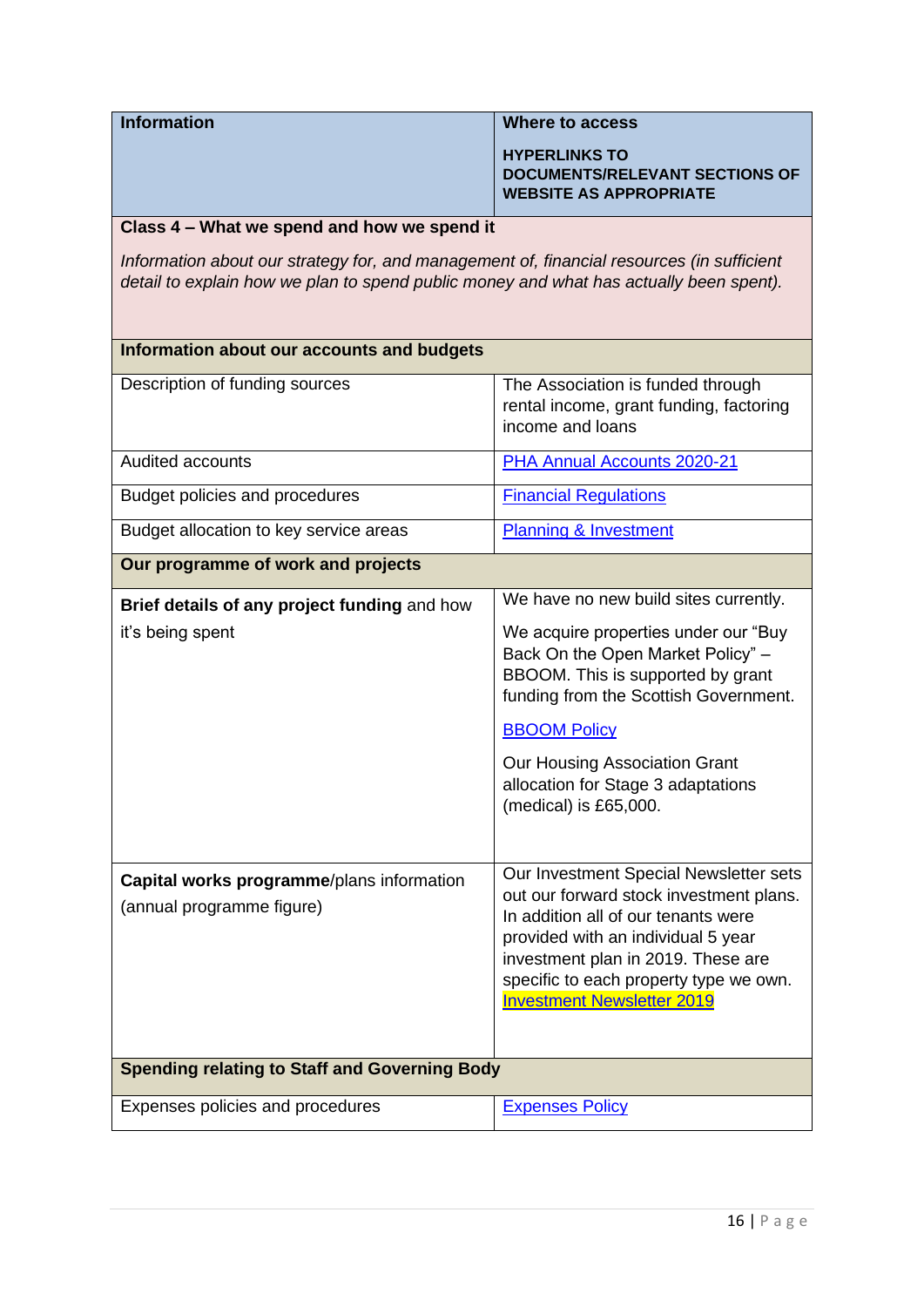| <b>Information</b>                                                                        | <b>Where to access</b>                |
|-------------------------------------------------------------------------------------------|---------------------------------------|
|                                                                                           | <b>HYPERLINKS TO</b>                  |
|                                                                                           | <b>DOCUMENTS/RELEVANT SECTIONS OF</b> |
|                                                                                           | <b>WEBSITE AS APPROPRIATE</b>         |
|                                                                                           |                                       |
| Class 4 – What we spend and how we spend it                                               |                                       |
| Information about our strategy for, and management of, financial resources (in sufficient |                                       |

detail to explain how we plan to spend public money and what has actually been spent).

| Information about our accounts and budgets<br>Description of funding sources<br><b>Audited accounts</b> | The Association is funded through<br>rental income, grant funding, factoring<br>income and loans                                                                                                                                                                                    |
|---------------------------------------------------------------------------------------------------------|-------------------------------------------------------------------------------------------------------------------------------------------------------------------------------------------------------------------------------------------------------------------------------------|
|                                                                                                         |                                                                                                                                                                                                                                                                                     |
|                                                                                                         |                                                                                                                                                                                                                                                                                     |
|                                                                                                         | PHA Annual Accounts 2020-21                                                                                                                                                                                                                                                         |
| Budget policies and procedures                                                                          | <b>Financial Regulations</b>                                                                                                                                                                                                                                                        |
| Budget allocation to key service areas                                                                  | <b>Planning &amp; Investment</b>                                                                                                                                                                                                                                                    |
| Our programme of work and projects                                                                      |                                                                                                                                                                                                                                                                                     |
| Brief details of any project funding and how                                                            | We have no new build sites currently.                                                                                                                                                                                                                                               |
| it's being spent                                                                                        | We acquire properties under our "Buy<br>Back On the Open Market Policy" -<br>BBOOM. This is supported by grant<br>funding from the Scottish Government.                                                                                                                             |
|                                                                                                         | <b>BBOOM Policy</b>                                                                                                                                                                                                                                                                 |
|                                                                                                         | Our Housing Association Grant<br>allocation for Stage 3 adaptations<br>(medical) is £65,000.                                                                                                                                                                                        |
| Capital works programme/plans information<br>(annual programme figure)                                  | Our Investment Special Newsletter sets<br>out our forward stock investment plans.<br>In addition all of our tenants were<br>provided with an individual 5 year<br>investment plan in 2019. These are<br>specific to each property type we own.<br><b>Investment Newsletter 2019</b> |
| <b>Spending relating to Staff and Governing Body</b>                                                    |                                                                                                                                                                                                                                                                                     |
| Expenses policies and procedures                                                                        | <b>Expenses Policy</b>                                                                                                                                                                                                                                                              |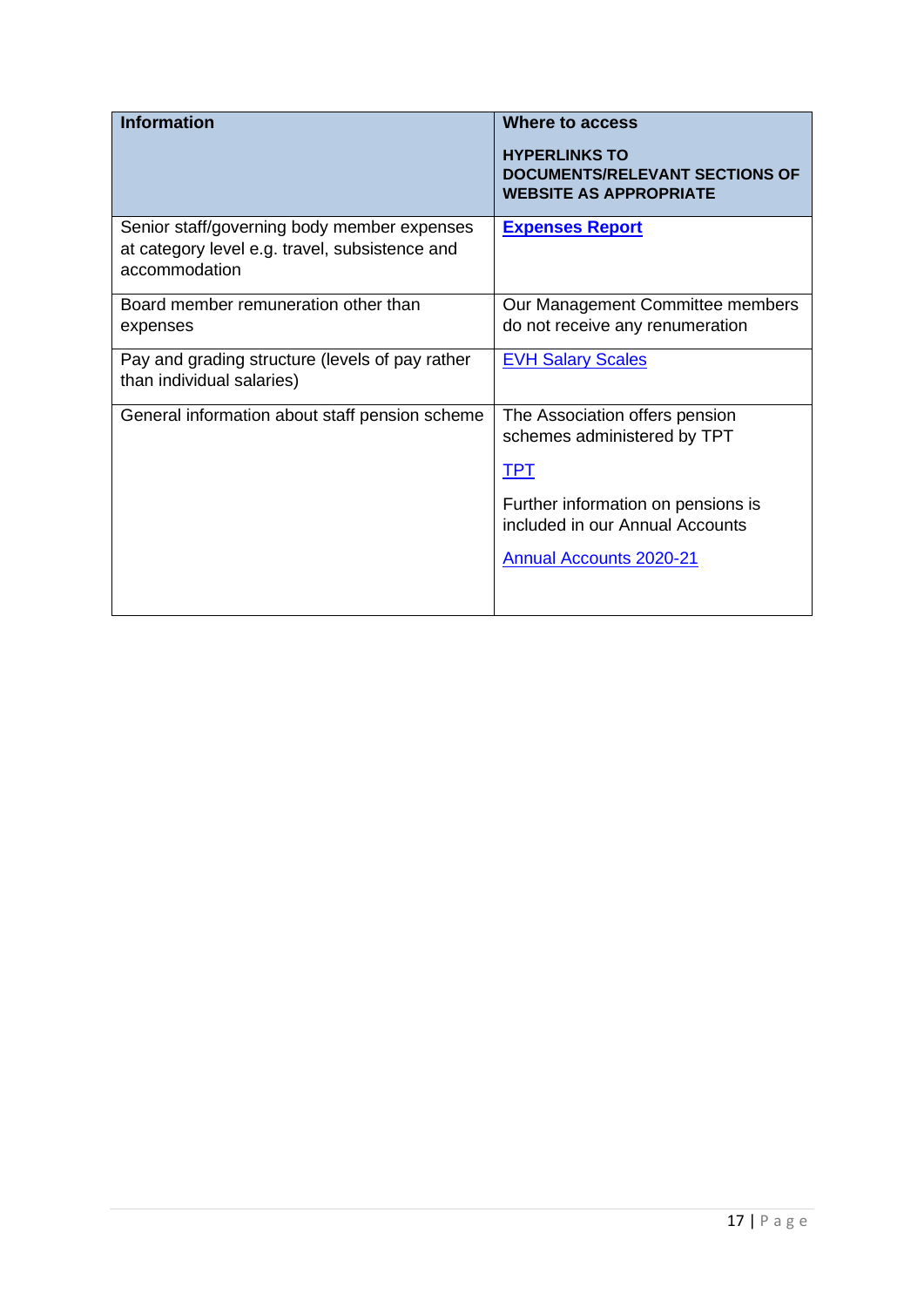| <b>Information</b>                                                                                             | Where to access<br><b>HYPERLINKS TO</b><br><b>DOCUMENTS/RELEVANT SECTIONS OF</b><br><b>WEBSITE AS APPROPRIATE</b> |
|----------------------------------------------------------------------------------------------------------------|-------------------------------------------------------------------------------------------------------------------|
| Senior staff/governing body member expenses<br>at category level e.g. travel, subsistence and<br>accommodation | <b>Expenses Report</b>                                                                                            |
| Board member remuneration other than<br>expenses                                                               | Our Management Committee members<br>do not receive any renumeration                                               |
| Pay and grading structure (levels of pay rather<br>than individual salaries)                                   | <b>EVH Salary Scales</b>                                                                                          |
| General information about staff pension scheme                                                                 | The Association offers pension<br>schemes administered by TPT                                                     |
|                                                                                                                | <b>TPT</b>                                                                                                        |
|                                                                                                                | Further information on pensions is<br>included in our Annual Accounts                                             |
|                                                                                                                | <b>Annual Accounts 2020-21</b>                                                                                    |
|                                                                                                                |                                                                                                                   |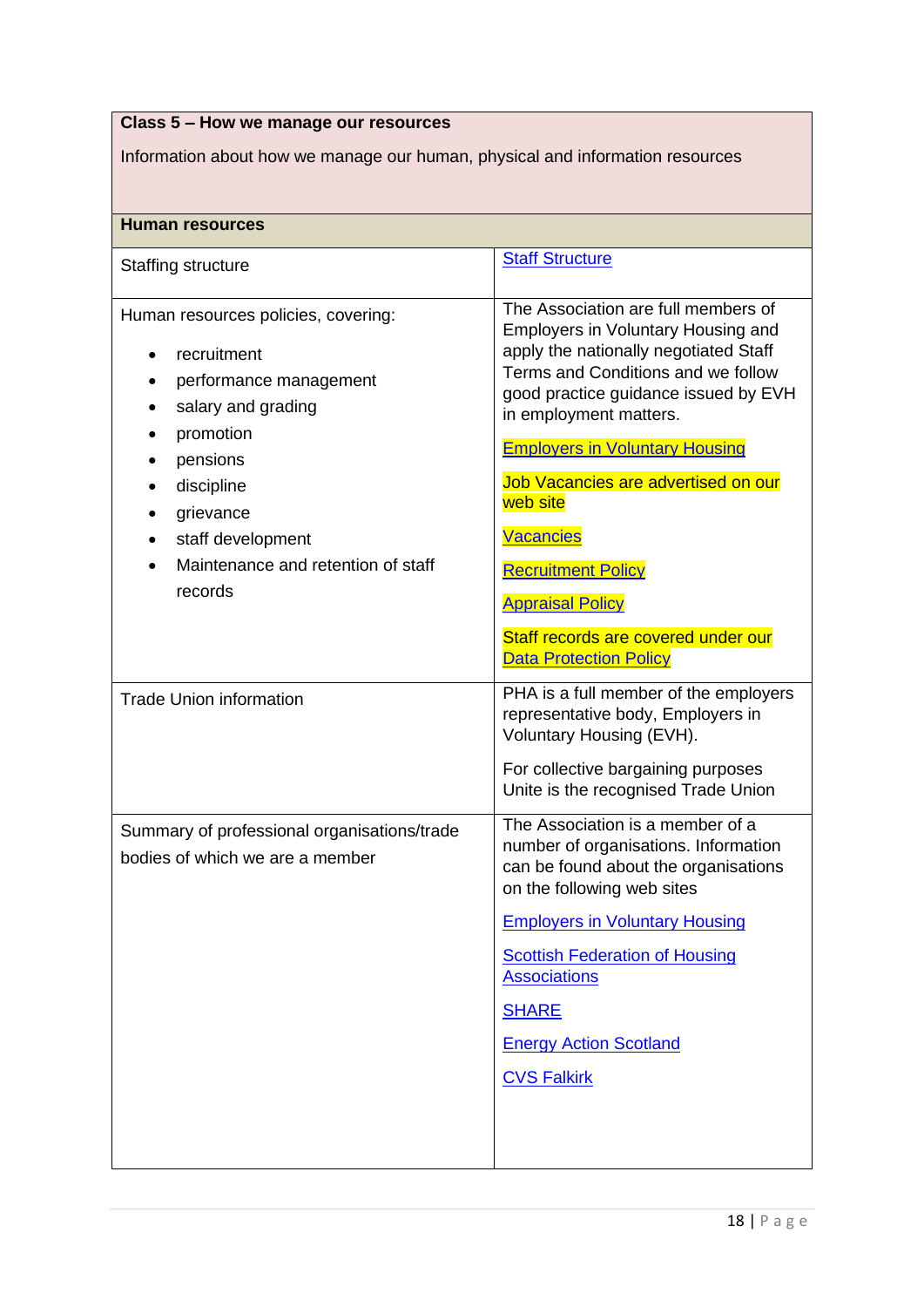| Class 5 - How we manage our resources                                                                                                                                                                                        |                                                                                                                                                                                                                                                                                                                                                                                                                                                                                   |
|------------------------------------------------------------------------------------------------------------------------------------------------------------------------------------------------------------------------------|-----------------------------------------------------------------------------------------------------------------------------------------------------------------------------------------------------------------------------------------------------------------------------------------------------------------------------------------------------------------------------------------------------------------------------------------------------------------------------------|
| Information about how we manage our human, physical and information resources                                                                                                                                                |                                                                                                                                                                                                                                                                                                                                                                                                                                                                                   |
|                                                                                                                                                                                                                              |                                                                                                                                                                                                                                                                                                                                                                                                                                                                                   |
| <b>Human resources</b>                                                                                                                                                                                                       |                                                                                                                                                                                                                                                                                                                                                                                                                                                                                   |
| Staffing structure                                                                                                                                                                                                           | <b>Staff Structure</b>                                                                                                                                                                                                                                                                                                                                                                                                                                                            |
| Human resources policies, covering:<br>recruitment<br>performance management<br>salary and grading<br>promotion<br>pensions<br>discipline<br>grievance<br>staff development<br>Maintenance and retention of staff<br>records | The Association are full members of<br><b>Employers in Voluntary Housing and</b><br>apply the nationally negotiated Staff<br>Terms and Conditions and we follow<br>good practice guidance issued by EVH<br>in employment matters.<br><b>Employers in Voluntary Housing</b><br>Job Vacancies are advertised on our<br>web site<br><b>Vacancies</b><br><b>Recruitment Policy</b><br><b>Appraisal Policy</b><br>Staff records are covered under our<br><b>Data Protection Policy</b> |
| <b>Trade Union information</b>                                                                                                                                                                                               | PHA is a full member of the employers<br>representative body, Employers in<br>Voluntary Housing (EVH).<br>For collective bargaining purposes<br>Unite is the recognised Trade Union                                                                                                                                                                                                                                                                                               |
| Summary of professional organisations/trade<br>bodies of which we are a member                                                                                                                                               | The Association is a member of a<br>number of organisations. Information<br>can be found about the organisations<br>on the following web sites<br><b>Employers in Voluntary Housing</b><br><b>Scottish Federation of Housing</b><br><b>Associations</b><br><b>SHARE</b><br><b>Energy Action Scotland</b><br><b>CVS Falkirk</b>                                                                                                                                                    |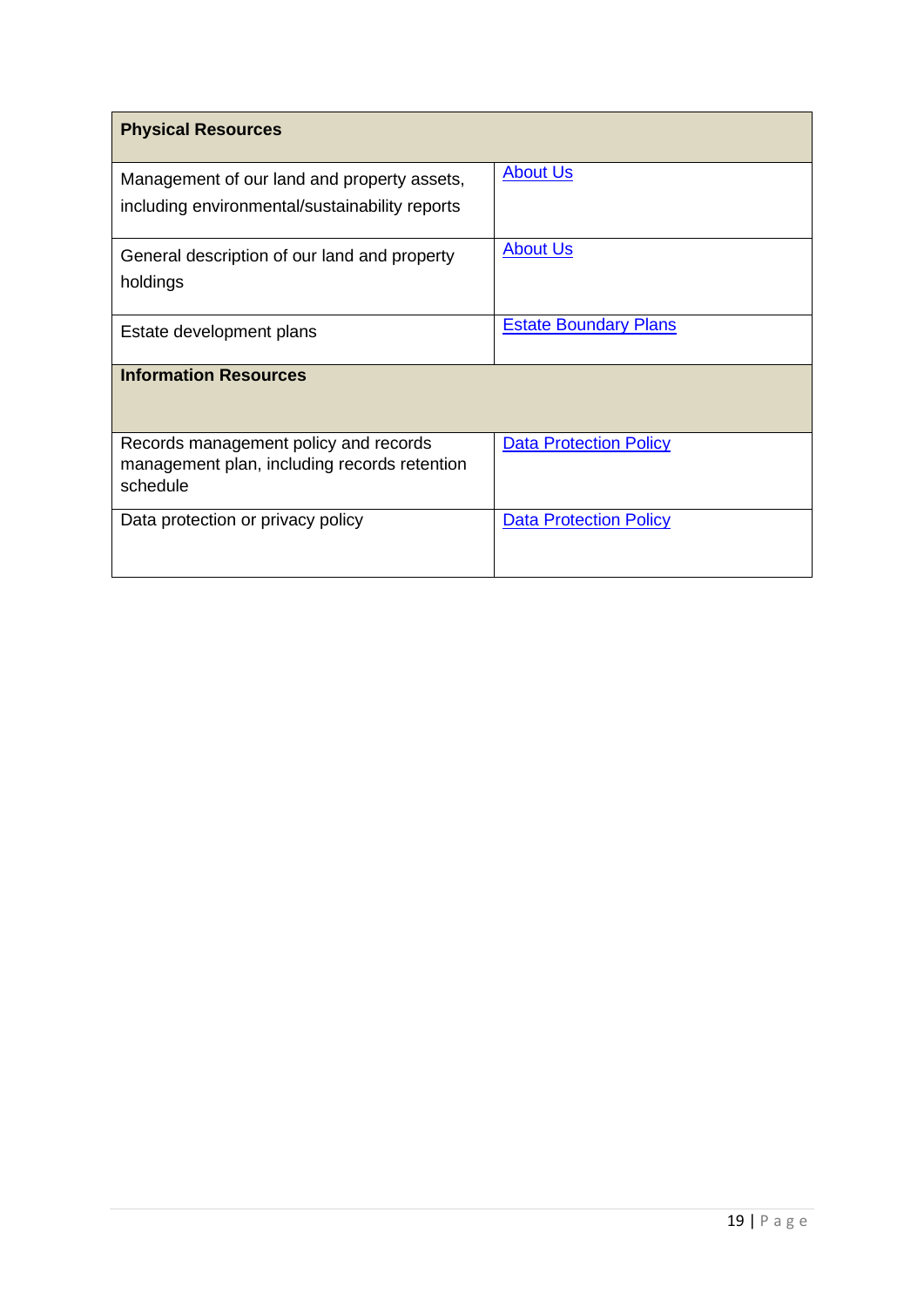| <b>Physical Resources</b>                                                                         |                               |
|---------------------------------------------------------------------------------------------------|-------------------------------|
| Management of our land and property assets,<br>including environmental/sustainability reports     | <b>About Us</b>               |
| General description of our land and property<br>holdings                                          | <b>About Us</b>               |
| Estate development plans                                                                          | <b>Estate Boundary Plans</b>  |
| <b>Information Resources</b>                                                                      |                               |
| Records management policy and records<br>management plan, including records retention<br>schedule | <b>Data Protection Policy</b> |
| Data protection or privacy policy                                                                 | <b>Data Protection Policy</b> |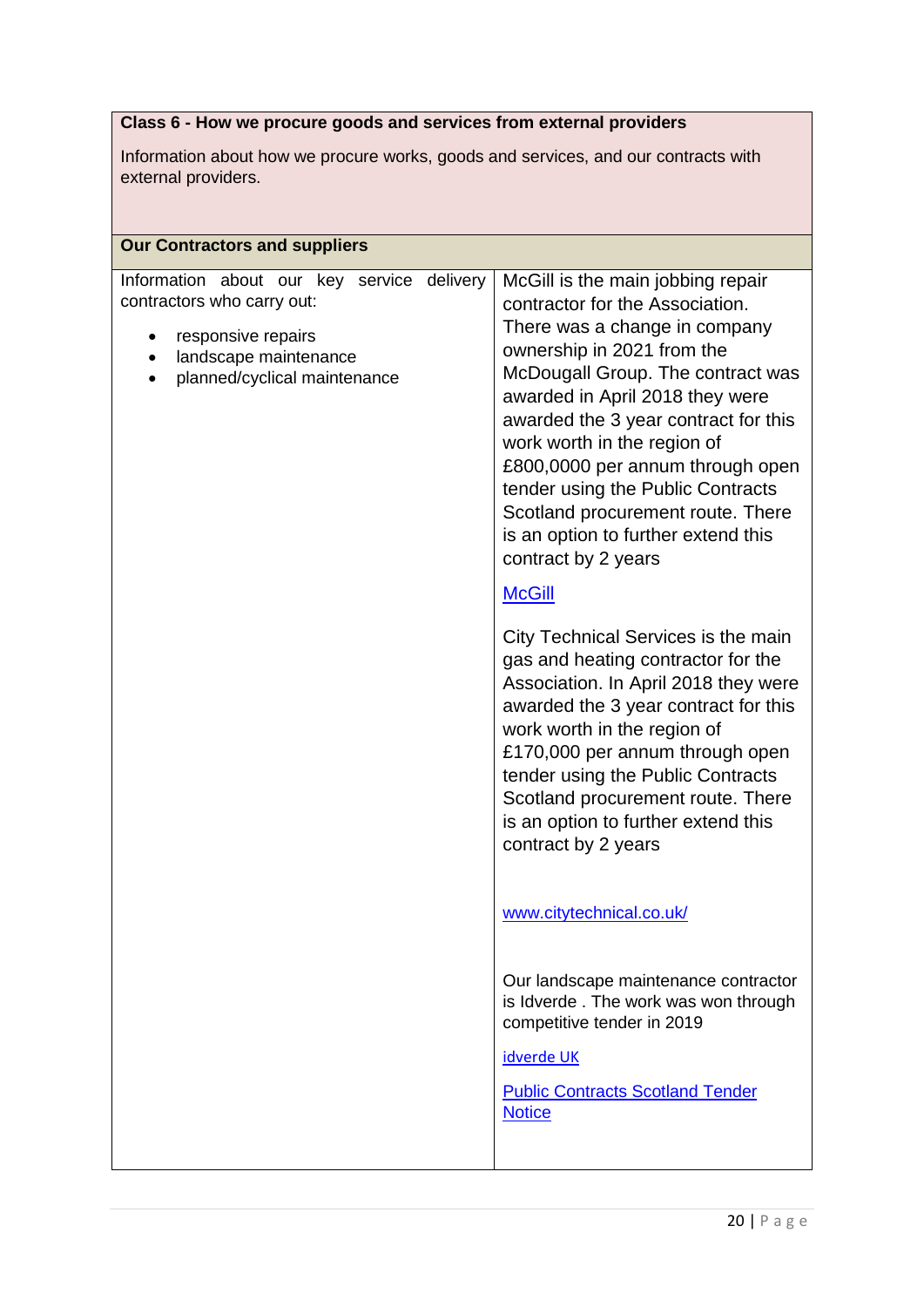# **Class 6 - How we procure goods and services from external providers**

Information about how we procure works, goods and services, and our contracts with external providers.

| <b>Our Contractors and suppliers</b>                                                                                                                                    |                                                                                                                                                                                                                                                                                                                                                                                                                                                                                                                                                                                                                                                                                                                                                                                                                                                                                                                                                                                                                                                                            |
|-------------------------------------------------------------------------------------------------------------------------------------------------------------------------|----------------------------------------------------------------------------------------------------------------------------------------------------------------------------------------------------------------------------------------------------------------------------------------------------------------------------------------------------------------------------------------------------------------------------------------------------------------------------------------------------------------------------------------------------------------------------------------------------------------------------------------------------------------------------------------------------------------------------------------------------------------------------------------------------------------------------------------------------------------------------------------------------------------------------------------------------------------------------------------------------------------------------------------------------------------------------|
| Information about our key service<br>delivery<br>contractors who carry out:<br>responsive repairs<br>landscape maintenance<br>$\bullet$<br>planned/cyclical maintenance | McGill is the main jobbing repair<br>contractor for the Association.<br>There was a change in company<br>ownership in 2021 from the<br>McDougall Group. The contract was<br>awarded in April 2018 they were<br>awarded the 3 year contract for this<br>work worth in the region of<br>£800,0000 per annum through open<br>tender using the Public Contracts<br>Scotland procurement route. There<br>is an option to further extend this<br>contract by 2 years<br><b>McGill</b><br>City Technical Services is the main<br>gas and heating contractor for the<br>Association. In April 2018 they were<br>awarded the 3 year contract for this<br>work worth in the region of<br>£170,000 per annum through open<br>tender using the Public Contracts<br>Scotland procurement route. There<br>is an option to further extend this<br>contract by 2 years<br>www.citytechnical.co.uk/<br>Our landscape maintenance contractor<br>is Idverde. The work was won through<br>competitive tender in 2019<br>idverde UK<br><b>Public Contracts Scotland Tender</b><br><b>Notice</b> |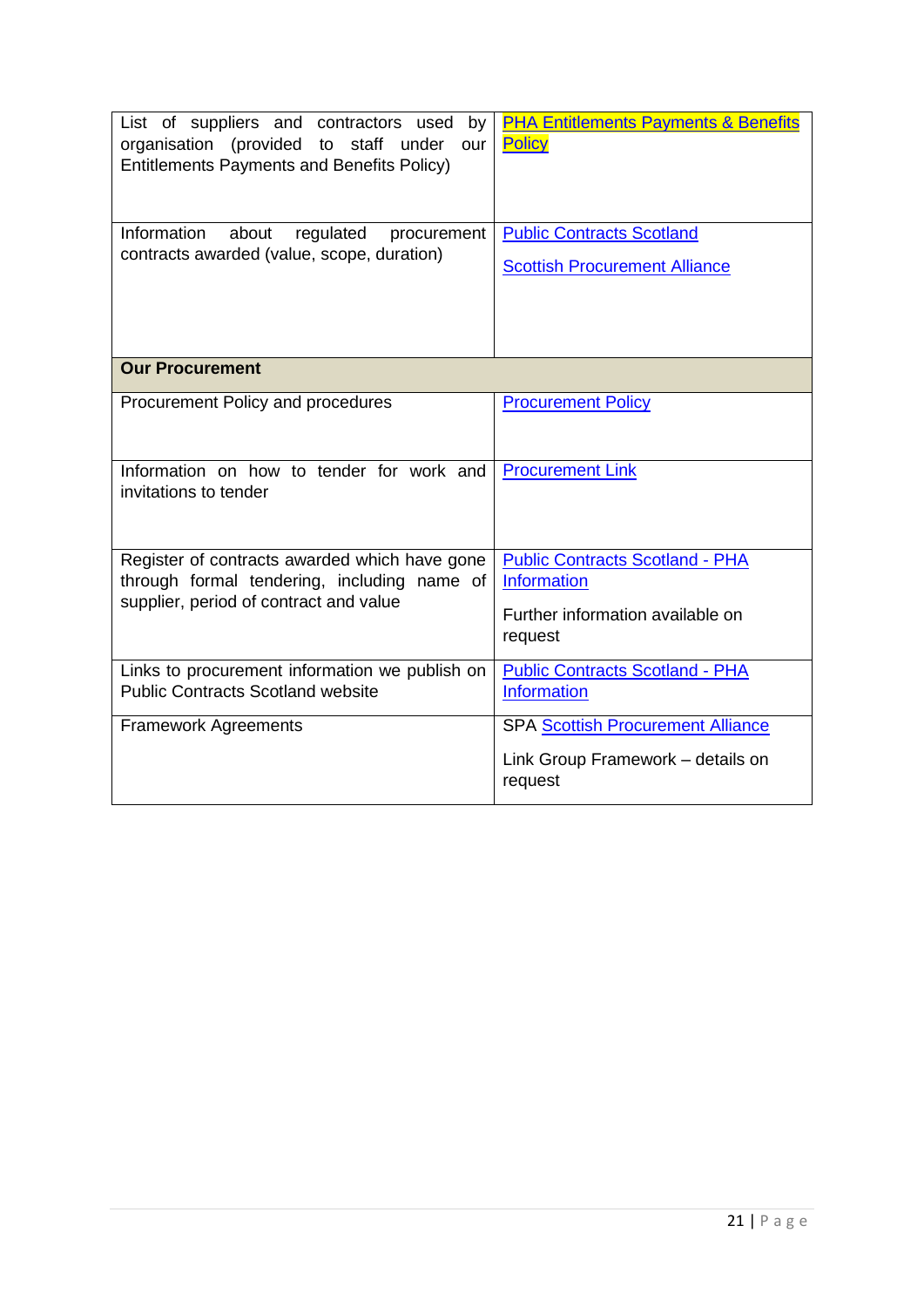| List of suppliers and contractors used by<br>organisation (provided to staff under<br>our<br><b>Entitlements Payments and Benefits Policy)</b> | <b>PHA Entitlements Payments &amp; Benefits</b><br><b>Policy</b>                         |
|------------------------------------------------------------------------------------------------------------------------------------------------|------------------------------------------------------------------------------------------|
| Information<br>about<br>regulated<br>procurement<br>contracts awarded (value, scope, duration)                                                 | <b>Public Contracts Scotland</b><br><b>Scottish Procurement Alliance</b>                 |
| <b>Our Procurement</b>                                                                                                                         |                                                                                          |
| Procurement Policy and procedures                                                                                                              | <b>Procurement Policy</b>                                                                |
| Information on how to tender for work and<br>invitations to tender                                                                             | <b>Procurement Link</b>                                                                  |
| Register of contracts awarded which have gone<br>through formal tendering, including name of                                                   | <b>Public Contracts Scotland - PHA</b><br><b>Information</b>                             |
| supplier, period of contract and value                                                                                                         | Further information available on<br>request                                              |
| Links to procurement information we publish on<br><b>Public Contracts Scotland website</b>                                                     | <b>Public Contracts Scotland - PHA</b><br><b>Information</b>                             |
| <b>Framework Agreements</b>                                                                                                                    | <b>SPA Scottish Procurement Alliance</b><br>Link Group Framework - details on<br>request |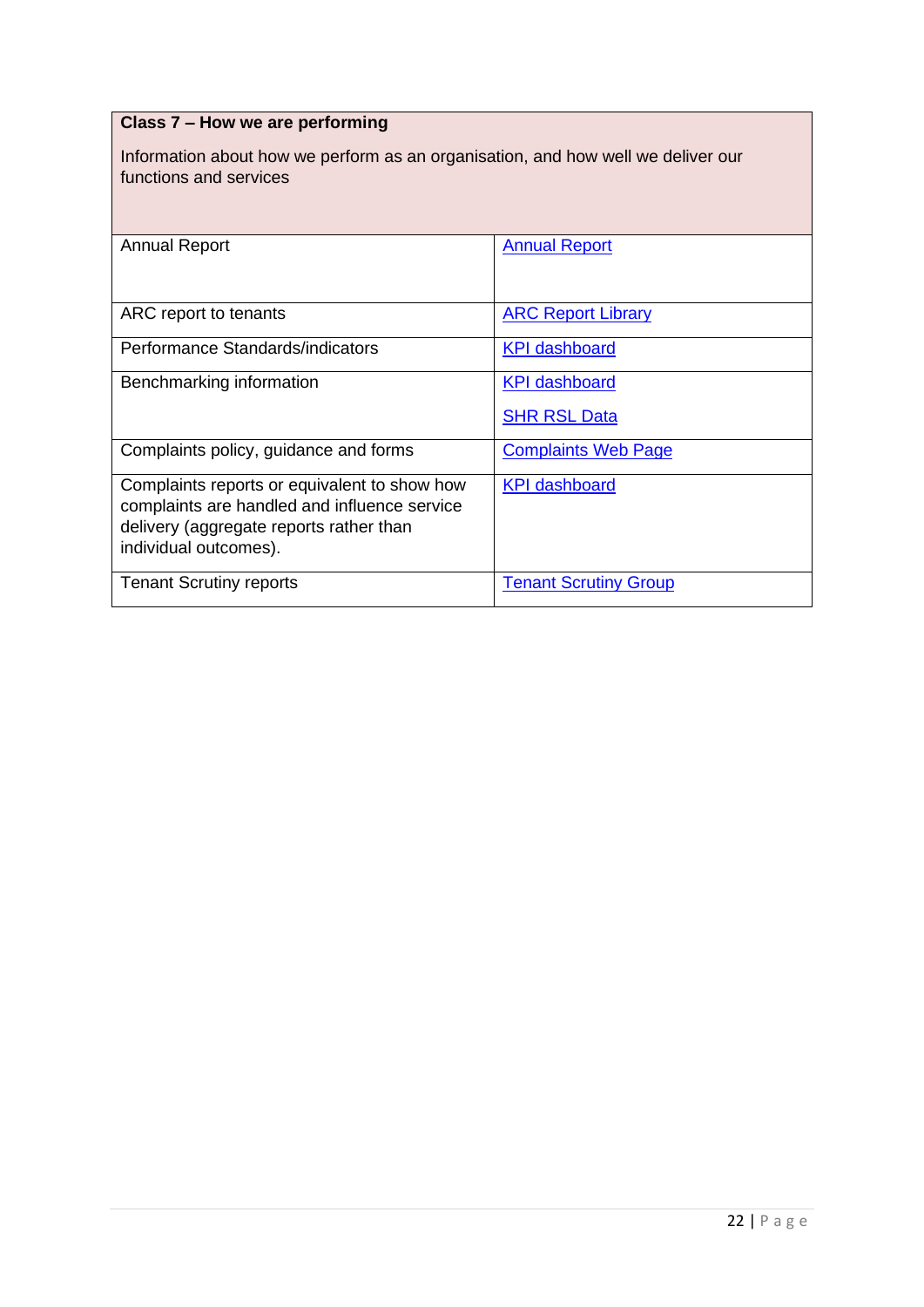| Class 7 - How we are performing                                                                                                                                  |                              |
|------------------------------------------------------------------------------------------------------------------------------------------------------------------|------------------------------|
| Information about how we perform as an organisation, and how well we deliver our<br>functions and services                                                       |                              |
| <b>Annual Report</b>                                                                                                                                             | <b>Annual Report</b>         |
| ARC report to tenants                                                                                                                                            | <b>ARC Report Library</b>    |
| Performance Standards/indicators                                                                                                                                 | <b>KPI</b> dashboard         |
| Benchmarking information                                                                                                                                         | <b>KPI dashboard</b>         |
|                                                                                                                                                                  | <b>SHR RSL Data</b>          |
| Complaints policy, guidance and forms                                                                                                                            | <b>Complaints Web Page</b>   |
| Complaints reports or equivalent to show how<br>complaints are handled and influence service<br>delivery (aggregate reports rather than<br>individual outcomes). | <b>KPI dashboard</b>         |
| <b>Tenant Scrutiny reports</b>                                                                                                                                   | <b>Tenant Scrutiny Group</b> |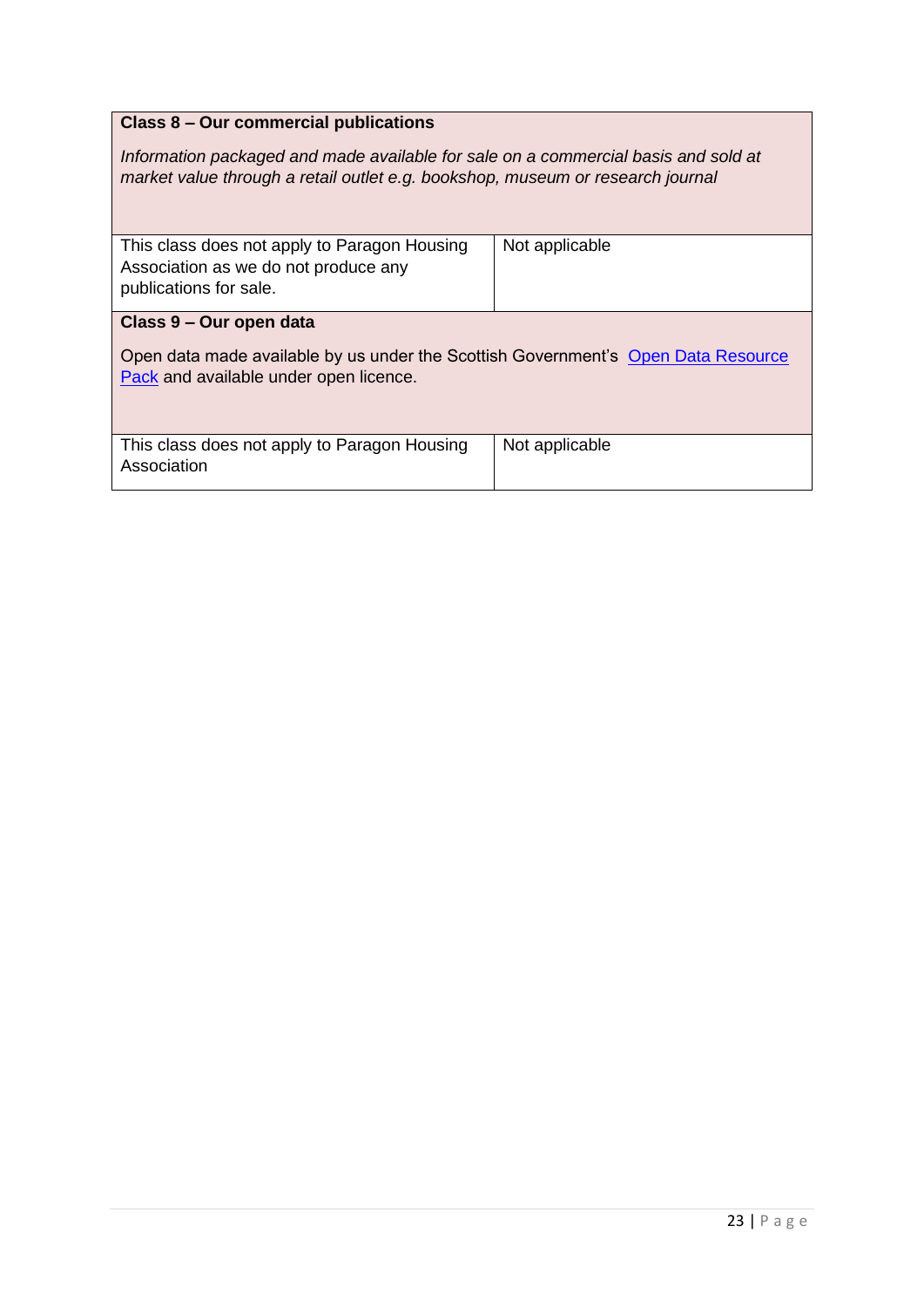#### **Class 8 – Our commercial publications**

*Information packaged and made available for sale on a commercial basis and sold at market value through a retail outlet e.g. bookshop, museum or research journal*

| This class does not apply to Paragon Housing<br>Association as we do not produce any<br>publications for sale.              | Not applicable |
|-----------------------------------------------------------------------------------------------------------------------------|----------------|
| Class 9 – Our open data                                                                                                     |                |
| Open data made available by us under the Scottish Government's Open Data Resource<br>Pack and available under open licence. |                |
| This class does not apply to Paragon Housing<br>Association                                                                 | Not applicable |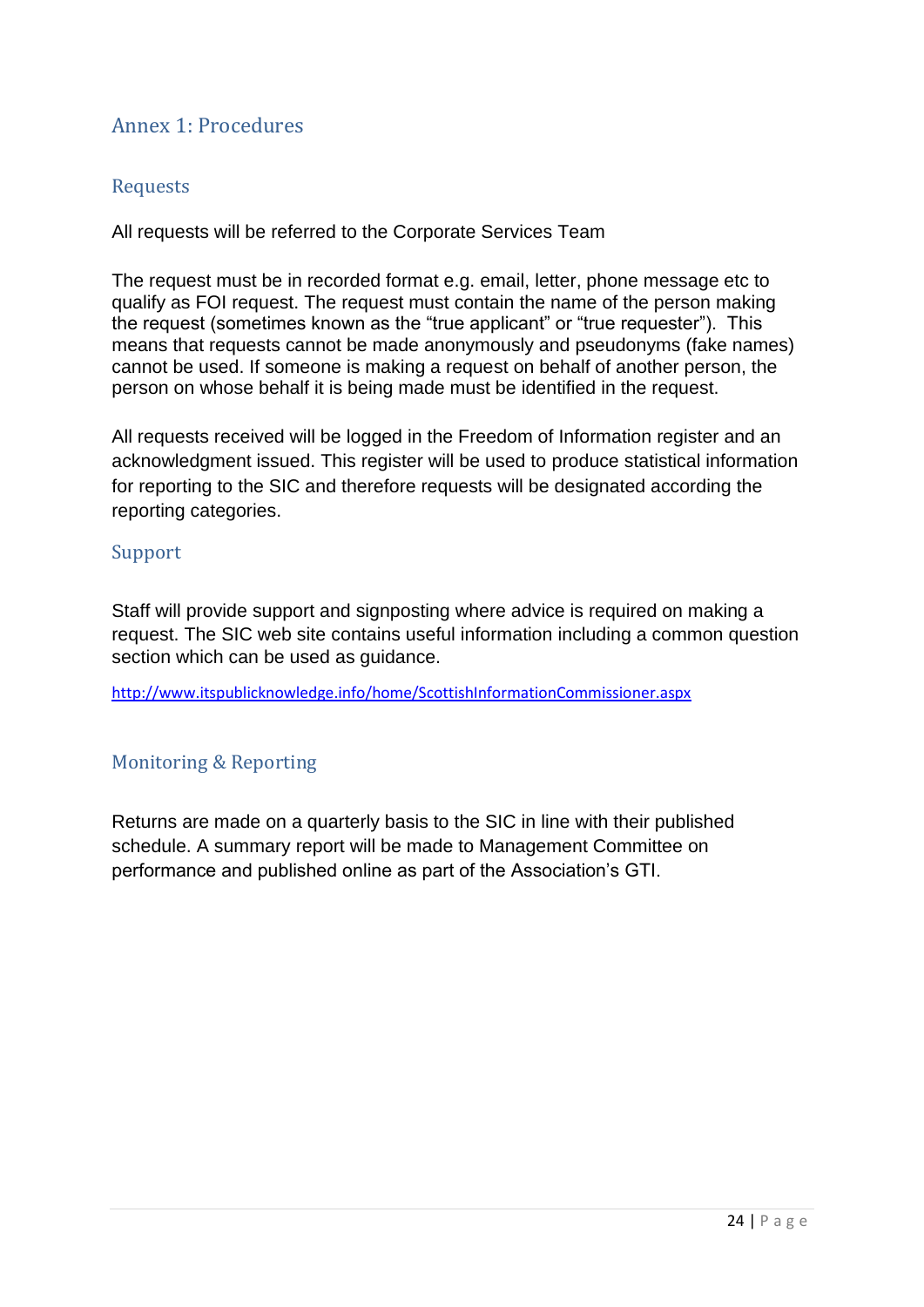## <span id="page-23-4"></span><span id="page-23-0"></span>Annex 1: Procedures

#### <span id="page-23-1"></span>Requests

All requests will be referred to the Corporate Services Team

The request must be in recorded format e.g. email, letter, phone message etc to qualify as FOI request. The request must contain the name of the person making the request (sometimes known as the "true applicant" or "true requester"). This means that requests cannot be made anonymously and pseudonyms (fake names) cannot be used. If someone is making a request on behalf of another person, the person on whose behalf it is being made must be identified in the request.

All requests received will be logged in the Freedom of Information register and an acknowledgment issued. This register will be used to produce statistical information for reporting to the SIC and therefore requests will be designated according the reporting categories.

#### <span id="page-23-2"></span>Support

Staff will provide support and signposting where advice is required on making a request. The SIC web site contains useful information including a common question section which can be used as quidance.

<http://www.itspublicknowledge.info/home/ScottishInformationCommissioner.aspx>

#### <span id="page-23-3"></span>Monitoring & Reporting

Returns are made on a quarterly basis to the SIC in line with their published schedule. A summary report will be made to Management Committee on performance and published online as part of the Association's GTI.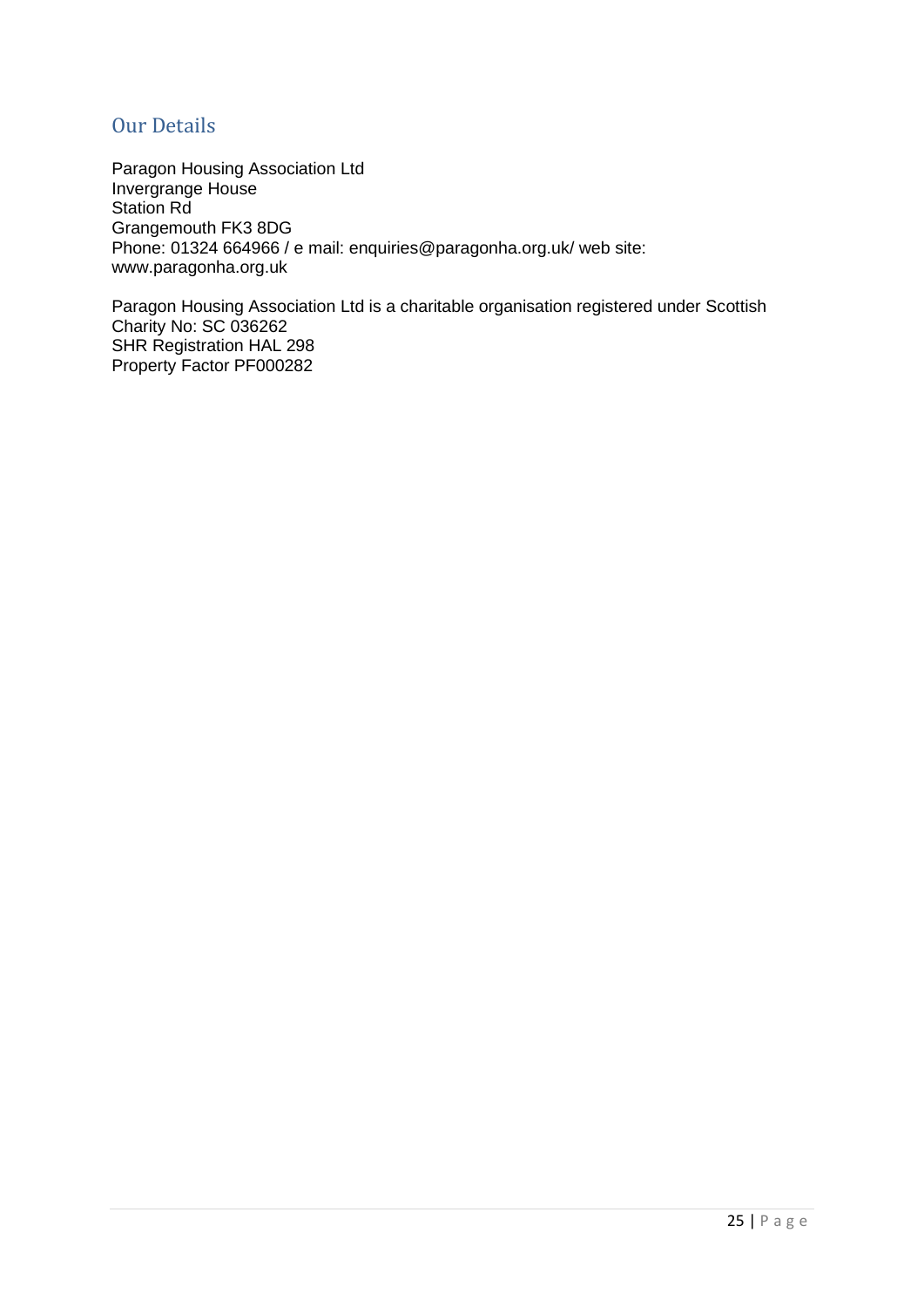#### <span id="page-24-0"></span>Our Details

Paragon Housing Association Ltd Invergrange House Station Rd Grangemouth FK3 8DG Phone: 01324 664966 / e mail: enquiries@paragonha.org.uk/ web site: www.paragonha.org.uk

Paragon Housing Association Ltd is a charitable organisation registered under Scottish Charity No: SC 036262 SHR Registration HAL 298 Property Factor PF000282